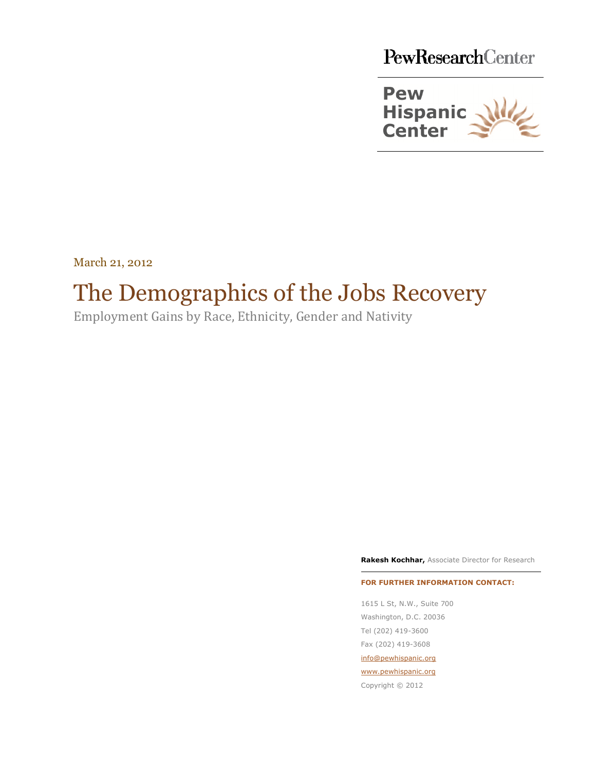



March 21, 2012

# The Demographics of the Jobs Recovery

Employment Gains by Race, Ethnicity, Gender and Nativity

Rakesh Kochhar, Associate Director for Research

### FOR FURTHER INFORMATION CONTACT:

1615 L St, N.W., Suite 700 L St, Washington, D.C. 20036 Tel (202) 419-3600 Fax (202) 419-3608 info@pewhispanic.org www.pewhispanic.org Copyright © 2012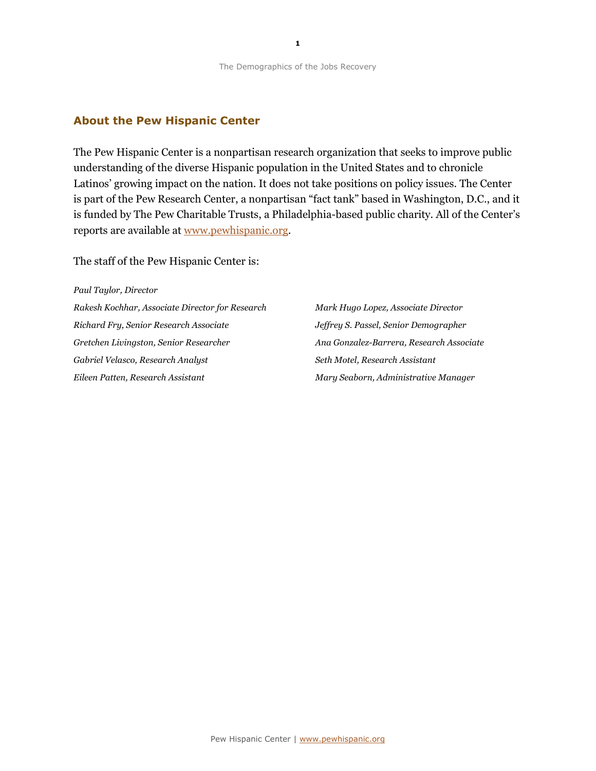### About the Pew Hispanic Center

The Pew Hispanic Center is a nonpartisan research organization that seeks to improve public understanding of the diverse Hispanic population in the United States and to chronicle Latinos' growing impact on the nation. It does not take positions on policy issues. The Center is part of the Pew Research Center, a nonpartisan "fact tank" based in Washington, D.C., and it is funded by The Pew Charitable Trusts, a Philadelphia-based public charity. All of the Center's reports are available at www.pewhispanic.org.

The staff of the Pew Hispanic Center is:

Paul Taylor, Director

Rakesh Kochhar, Associate Director for Research Richard Fry, Senior Research Associate Gretchen Livingston, Senior Researcher Gabriel Velasco, Research Analyst Eileen Patten, Research Assistant

Mark Hugo Lopez, Associate Director Jeffrey S. Passel, Senior Demographer Ana Gonzalez-Barrera, Research Associate Seth Motel, Research Assistant Mary Seaborn, Administrative Manager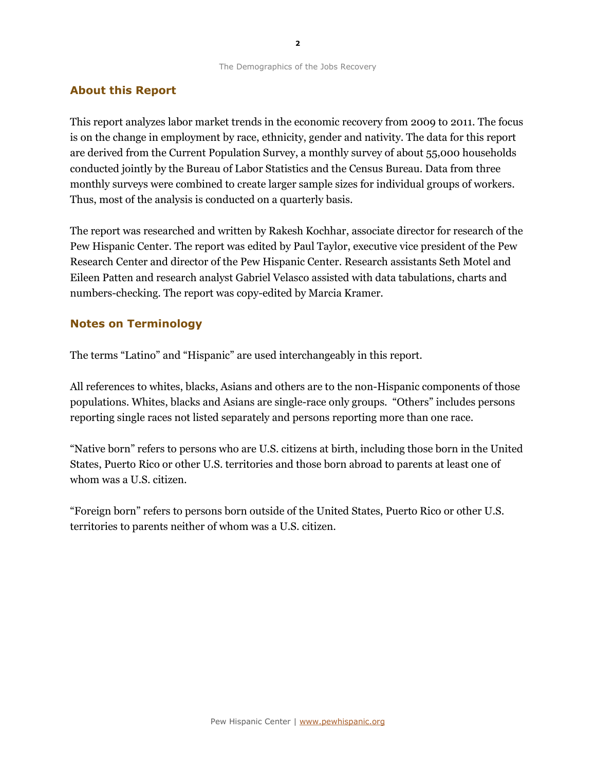### About this Report

This report analyzes labor market trends in the economic recovery from 2009 to 2011. The focus is on the change in employment by race, ethnicity, gender and nativity. The data for this report are derived from the Current Population Survey, a monthly survey of about 55,000 households conducted jointly by the Bureau of Labor Statistics and the Census Bureau. Data from three monthly surveys were combined to create larger sample sizes for individual groups of workers. Thus, most of the analysis is conducted on a quarterly basis.

The report was researched and written by Rakesh Kochhar, associate director for research of the Pew Hispanic Center. The report was edited by Paul Taylor, executive vice president of the Pew Research Center and director of the Pew Hispanic Center. Research assistants Seth Motel and Eileen Patten and research analyst Gabriel Velasco assisted with data tabulations, charts and numbers-checking. The report was copy-edited by Marcia Kramer.

### Notes on Terminology

The terms "Latino" and "Hispanic" are used interchangeably in this report.

All references to whites, blacks, Asians and others are to the non-Hispanic components of those populations. Whites, blacks and Asians are single-race only groups. "Others" includes persons reporting single races not listed separately and persons reporting more than one race.

"Native born" refers to persons who are U.S. citizens at birth, including those born in the United States, Puerto Rico or other U.S. territories and those born abroad to parents at least one of whom was a U.S. citizen.

"Foreign born" refers to persons born outside of the United States, Puerto Rico or other U.S. territories to parents neither of whom was a U.S. citizen.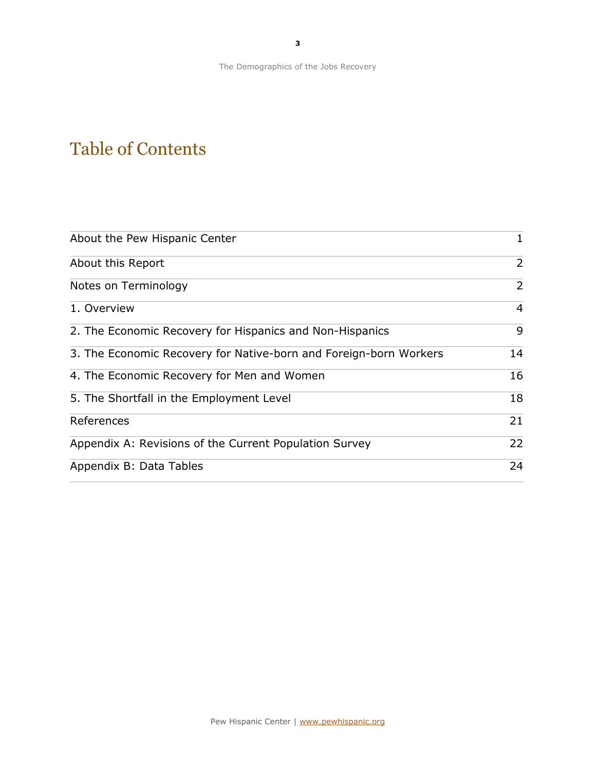# Table of Contents

| About the Pew Hispanic Center                                     | $\mathbf{1}$ |
|-------------------------------------------------------------------|--------------|
| About this Report                                                 | 2            |
| Notes on Terminology                                              | 2            |
| 1. Overview                                                       | 4            |
| 2. The Economic Recovery for Hispanics and Non-Hispanics          | 9            |
| 3. The Economic Recovery for Native-born and Foreign-born Workers | 14           |
| 4. The Economic Recovery for Men and Women                        | 16           |
| 5. The Shortfall in the Employment Level                          | 18           |
| References                                                        | 21           |
| Appendix A: Revisions of the Current Population Survey            | 22           |
| Appendix B: Data Tables                                           | 24           |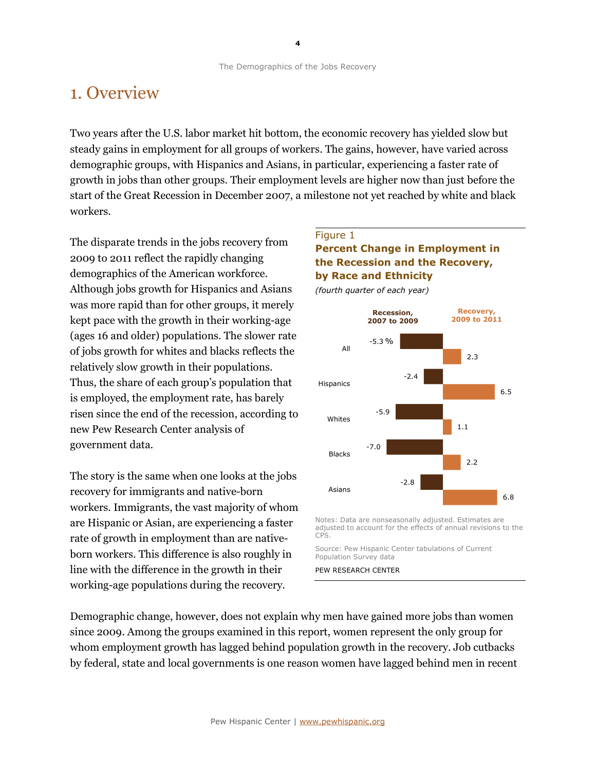# 1. Overview

Two years after the U.S. labor market hit bottom, the economic recovery has yielded slow but steady gains in employment for all groups of workers. The gains, however, have varied across demographic groups, with Hispanics and Asians, in particular, experiencing a faster rate of growth in jobs than other groups. Their employment levels are higher now than just before the start of the Great Recession in December 2007, a milestone not yet reached by white and black workers.

The disparate trends in the jobs recovery from 2009 to 2011 reflect the rapidly changing demographics of the American workforce. Although jobs growth for Hispanics and Asians was more rapid than for other groups, it merely kept pace with the growth in their working-age (ages 16 and older) populations. The slower rate of jobs growth for whites and blacks reflects the relatively slow growth in their populations. Thus, the share of each group's population that is employed, the employment rate, has barely risen since the end of the recession, according to new Pew Research Center analysis of government data.

The story is the same when one looks at the jobs recovery for immigrants and native-born workers. Immigrants, the vast majority of whom are Hispanic or Asian, are experiencing a faster rate of growth in employment than are nativeborn workers. This difference is also roughly in line with the difference in the growth in their working-age populations during the recovery.

### Figure 1

# Percent Change in Employment in the Recession and the Recovery, by Race and Ethnicity

(fourth quarter of each year)



Notes: Data are nonseasonally adjusted. Estimates are adjusted to account for the effects of annual revisions to the CPS.

Source: Pew Hispanic Center tabulations of Current Population Survey data

PEW RESEARCH CENTER

Demographic change, however, does not explain why men have gained more jobs than women since 2009. Among the groups examined in this report, women represent the only group for whom employment growth has lagged behind population growth in the recovery. Job cutbacks by federal, state and local governments is one reason women have lagged behind men in recent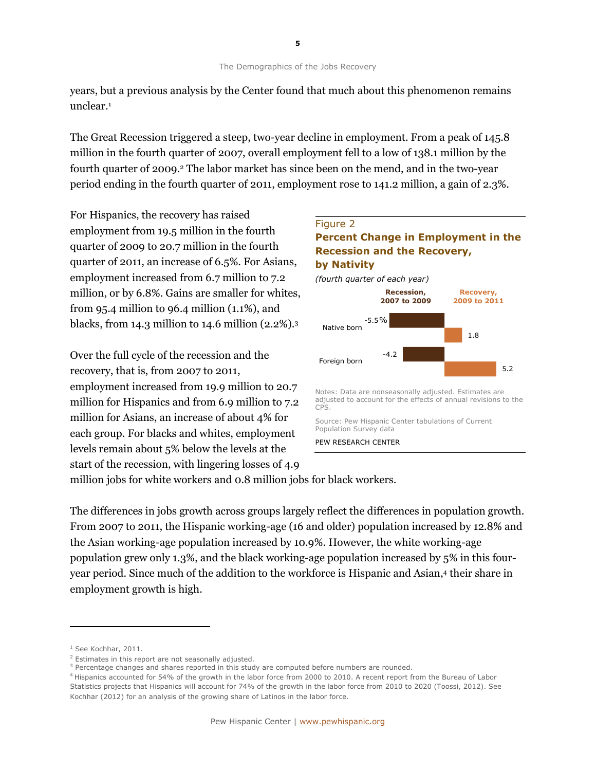years, but a previous analysis by the Center found that much about this phenomenon remains unclear.<sup>1</sup>

The Great Recession triggered a steep, two-year decline in employment. From a peak of 145.8 million in the fourth quarter of 2007, overall employment fell to a low of 138.1 million by the fourth quarter of 2009.<sup>2</sup> The labor market has since been on the mend, and in the two-year period ending in the fourth quarter of 2011, employment rose to 141.2 million, a gain of 2.3%.

For Hispanics, the recovery has raised employment from 19.5 million in the fourth quarter of 2009 to 20.7 million in the fourth quarter of 2011, an increase of 6.5%. For Asians, employment increased from 6.7 million to 7.2 million, or by 6.8%. Gains are smaller for whites, from 95.4 million to 96.4 million  $(1.1\%)$ , and blacks, from 14.3 million to 14.6 million (2.2%).<sup>3</sup>

Over the full cycle of the recession and the recovery, that is, from 2007 to 2011, employment increased from 19.9 million to 20.7 million for Hispanics and from 6.9 million to 7.2 million for Asians, an increase of about 4% for each group. For blacks and whites, employment levels remain about 5% below the levels at the start of the recession, with lingering losses of 4.9

### -5.5 Recovery, 2009 to 2011 Recession, 2007 to 2009 Figure 2 Percent Change in Employment in the Recession and the Recovery, by Nativity (fourth quarter of each year)



Source: Pew Hispanic Center tabulations of Current Population Survey data

PEW RESEARCH CENTER

million jobs for white workers and 0.8 million jobs for black workers.

The differences in jobs growth across groups largely reflect the differences in population growth. From 2007 to 2011, the Hispanic working-age (16 and older) population increased by 12.8% and the Asian working-age population increased by 10.9%. However, the white working-age population grew only 1.3%, and the black working-age population increased by 5% in this fouryear period. Since much of the addition to the workforce is Hispanic and Asian,4 their share in employment growth is high.

i<br>I

<sup>&</sup>lt;sup>1</sup> See Kochhar, 2011.

<sup>&</sup>lt;sup>2</sup> Estimates in this report are not seasonally adjusted.

<sup>&</sup>lt;sup>3</sup> Percentage changes and shares reported in this study are computed before numbers are rounded.

<sup>4</sup>Hispanics accounted for 54% of the growth in the labor force from 2000 to 2010. A recent report from the Bureau of Labor Statistics projects that Hispanics will account for 74% of the growth in the labor force from 2010 to 2020 (Toossi, 2012). See Kochhar (2012) for an analysis of the growing share of Latinos in the labor force.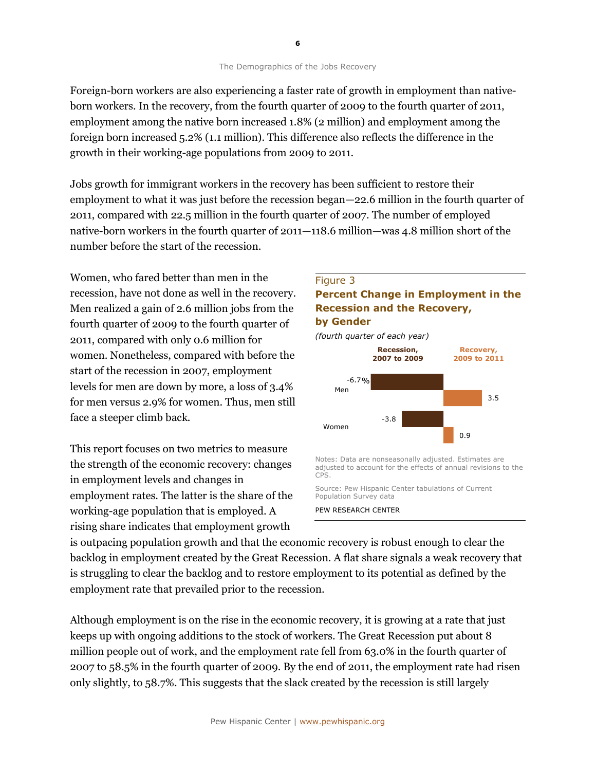Foreign-born workers are also experiencing a faster rate of growth in employment than nativeborn workers. In the recovery, from the fourth quarter of 2009 to the fourth quarter of 2011, employment among the native born increased 1.8% (2 million) and employment among the foreign born increased 5.2% (1.1 million). This difference also reflects the difference in the growth in their working-age populations from 2009 to 2011.

Jobs growth for immigrant workers in the recovery has been sufficient to restore their employment to what it was just before the recession began—22.6 million in the fourth quarter of 2011, compared with 22.5 million in the fourth quarter of 2007. The number of employed native-born workers in the fourth quarter of 2011—118.6 million—was 4.8 million short of the number before the start of the recession.

Women, who fared better than men in the recession, have not done as well in the recovery. Men realized a gain of 2.6 million jobs from the fourth quarter of 2009 to the fourth quarter of 2011, compared with only 0.6 million for women. Nonetheless, compared with before the start of the recession in 2007, employment levels for men are down by more, a loss of 3.4% for men versus 2.9% for women. Thus, men still face a steeper climb back.

This report focuses on two metrics to measure the strength of the economic recovery: changes in employment levels and changes in employment rates. The latter is the share of the working-age population that is employed. A rising share indicates that employment growth

# Figure 3 Percent Change in Employment in the Recession and the Recovery, by Gender





is outpacing population growth and that the economic recovery is robust enough to clear the backlog in employment created by the Great Recession. A flat share signals a weak recovery that is struggling to clear the backlog and to restore employment to its potential as defined by the employment rate that prevailed prior to the recession.

Although employment is on the rise in the economic recovery, it is growing at a rate that just keeps up with ongoing additions to the stock of workers. The Great Recession put about 8 million people out of work, and the employment rate fell from 63.0% in the fourth quarter of 2007 to 58.5% in the fourth quarter of 2009. By the end of 2011, the employment rate had risen only slightly, to 58.7%. This suggests that the slack created by the recession is still largely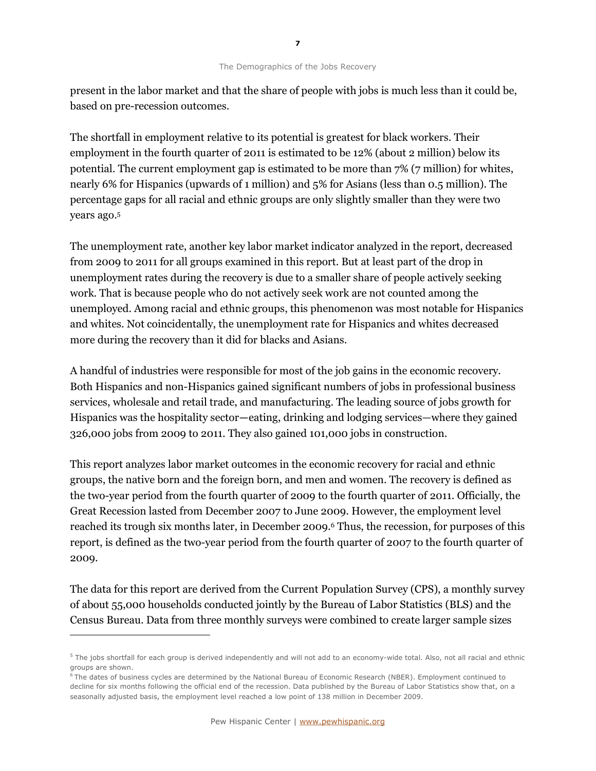present in the labor market and that the share of people with jobs is much less than it could be, based on pre-recession outcomes.

The shortfall in employment relative to its potential is greatest for black workers. Their employment in the fourth quarter of 2011 is estimated to be 12% (about 2 million) below its potential. The current employment gap is estimated to be more than 7% (7 million) for whites, nearly 6% for Hispanics (upwards of 1 million) and 5% for Asians (less than 0.5 million). The percentage gaps for all racial and ethnic groups are only slightly smaller than they were two years ago.<sup>5</sup>

The unemployment rate, another key labor market indicator analyzed in the report, decreased from 2009 to 2011 for all groups examined in this report. But at least part of the drop in unemployment rates during the recovery is due to a smaller share of people actively seeking work. That is because people who do not actively seek work are not counted among the unemployed. Among racial and ethnic groups, this phenomenon was most notable for Hispanics and whites. Not coincidentally, the unemployment rate for Hispanics and whites decreased more during the recovery than it did for blacks and Asians.

A handful of industries were responsible for most of the job gains in the economic recovery. Both Hispanics and non-Hispanics gained significant numbers of jobs in professional business services, wholesale and retail trade, and manufacturing. The leading source of jobs growth for Hispanics was the hospitality sector—eating, drinking and lodging services—where they gained 326,000 jobs from 2009 to 2011. They also gained 101,000 jobs in construction.

This report analyzes labor market outcomes in the economic recovery for racial and ethnic groups, the native born and the foreign born, and men and women. The recovery is defined as the two-year period from the fourth quarter of 2009 to the fourth quarter of 2011. Officially, the Great Recession lasted from December 2007 to June 2009. However, the employment level reached its trough six months later, in December 2009.<sup>6</sup> Thus, the recession, for purposes of this report, is defined as the two-year period from the fourth quarter of 2007 to the fourth quarter of 2009.

The data for this report are derived from the Current Population Survey (CPS), a monthly survey of about 55,000 households conducted jointly by the Bureau of Labor Statistics (BLS) and the Census Bureau. Data from three monthly surveys were combined to create larger sample sizes

1

<sup>&</sup>lt;sup>5</sup> The jobs shortfall for each group is derived independently and will not add to an economy-wide total. Also, not all racial and ethnic groups are shown.

 $6$ The dates of business cycles are determined by the National Bureau of Economic Research (NBER). Employment continued to decline for six months following the official end of the recession. Data published by the Bureau of Labor Statistics show that, on a seasonally adjusted basis, the employment level reached a low point of 138 million in December 2009.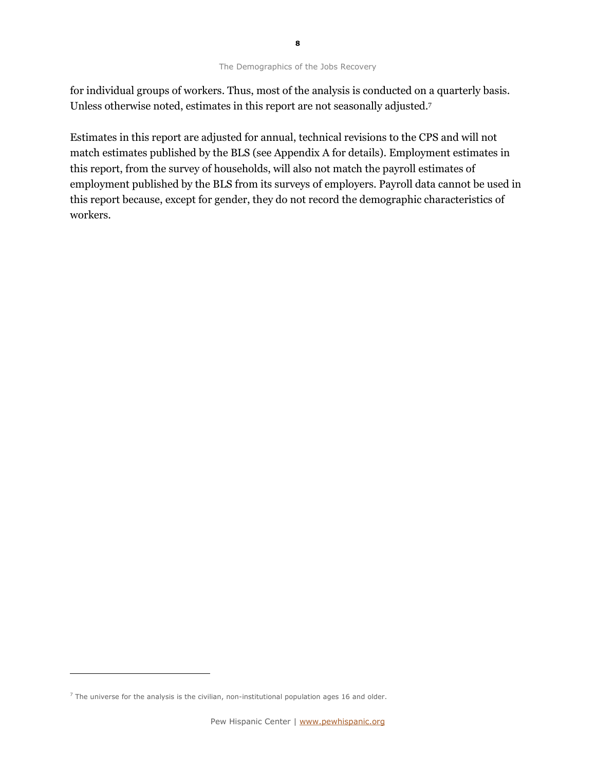for individual groups of workers. Thus, most of the analysis is conducted on a quarterly basis. Unless otherwise noted, estimates in this report are not seasonally adjusted.<sup>7</sup>

Estimates in this report are adjusted for annual, technical revisions to the CPS and will not match estimates published by the BLS (see Appendix A for details). Employment estimates in this report, from the survey of households, will also not match the payroll estimates of employment published by the BLS from its surveys of employers. Payroll data cannot be used in this report because, except for gender, they do not record the demographic characteristics of workers.

l,

 $<sup>7</sup>$  The universe for the analysis is the civilian, non-institutional population ages 16 and older.</sup>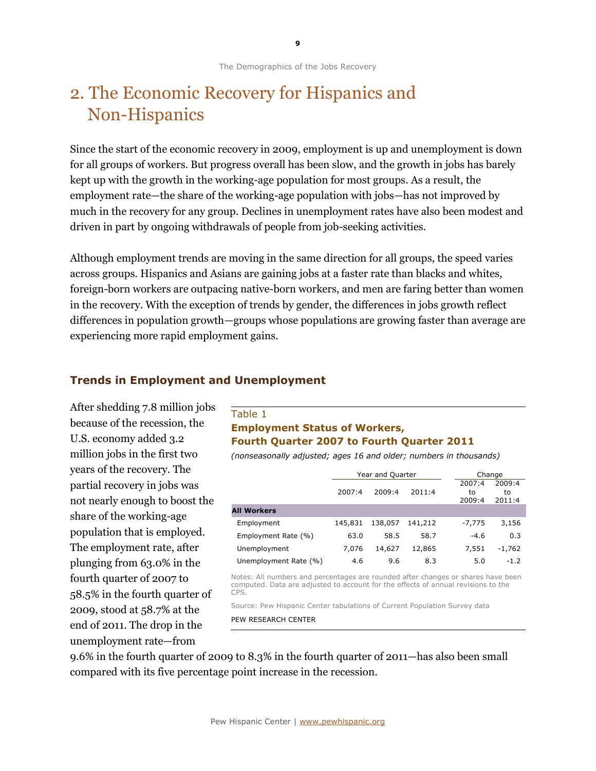# 2. The Economic Recovery for Hispanics and Non-Hispanics

Since the start of the economic recovery in 2009, employment is up and unemployment is down for all groups of workers. But progress overall has been slow, and the growth in jobs has barely kept up with the growth in the working-age population for most groups. As a result, the employment rate—the share of the working-age population with jobs—has not improved by much in the recovery for any group. Declines in unemployment rates have also been modest and driven in part by ongoing withdrawals of people from job-seeking activities.

Although employment trends are moving in the same direction for all groups, the speed varies across groups. Hispanics and Asians are gaining jobs at a faster rate than blacks and whites, foreign-born workers are outpacing native-born workers, and men are faring better than women in the recovery. With the exception of trends by gender, the differences in jobs growth reflect differences in population growth—groups whose populations are growing faster than average are experiencing more rapid employment gains.

### Trends in Employment and Unemployment

After shedding 7.8 million jobs because of the recession, the U.S. economy added 3.2 million jobs in the first two years of the recovery. The partial recovery in jobs was not nearly enough to boost the share of the working-age population that is employed. The employment rate, after plunging from 63.0% in the fourth quarter of 2007 to 58.5% in the fourth quarter of 2009, stood at 58.7% at the end of 2011. The drop in the unemployment rate—from

# Table 1 Employment Status of Workers, Fourth Quarter 2007 to Fourth Quarter 2011

(nonseasonally adjusted; ages 16 and older; numbers in thousands)

|                       |         | Year and Quarter |         | Change                 |                        |
|-----------------------|---------|------------------|---------|------------------------|------------------------|
|                       | 2007:4  | 2009:4           | 2011:4  | 2007:4<br>to<br>2009:4 | 2009:4<br>to<br>2011:4 |
| <b>All Workers</b>    |         |                  |         |                        |                        |
| Employment            | 145,831 | 138,057          | 141,212 | -7,775                 | 3,156                  |
| Employment Rate (%)   | 63.0    | 58.5             | 58.7    | $-4.6$                 | 0.3                    |
| Unemployment          | 7.076   | 14,627           | 12,865  | 7,551                  | $-1,762$               |
| Unemployment Rate (%) | 4.6     | 9.6              | 8.3     | 5.0                    | $-1.2$                 |

Notes: All numbers and percentages are rounded after changes or shares have been computed. Data are adjusted to account for the effects of annual revisions to the CPS.

Source: Pew Hispanic Center tabulations of Current Population Survey data

PEW RESEARCH CENTER

9.6% in the fourth quarter of 2009 to 8.3% in the fourth quarter of 2011—has also been small compared with its five percentage point increase in the recession.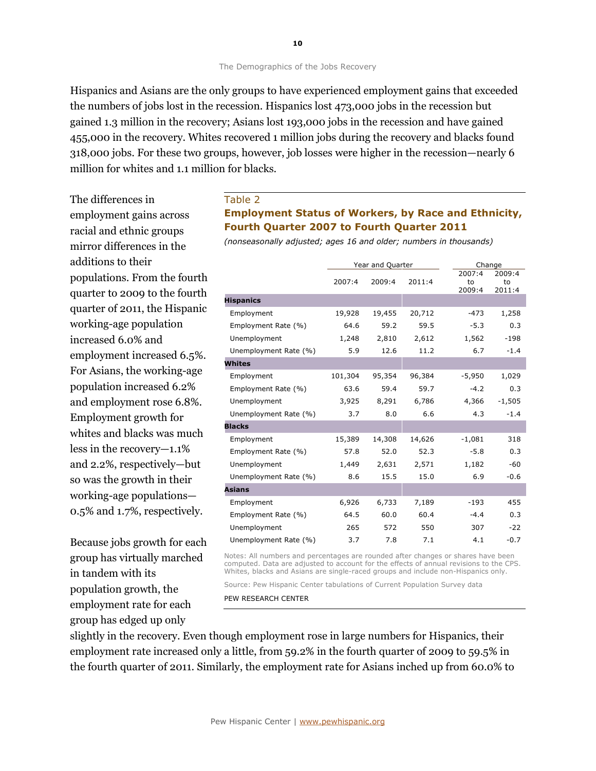Hispanics and Asians are the only groups to have experienced employment gains that exceeded the numbers of jobs lost in the recession. Hispanics lost 473,000 jobs in the recession but gained 1.3 million in the recovery; Asians lost 193,000 jobs in the recession and have gained 455,000 in the recovery. Whites recovered 1 million jobs during the recovery and blacks found 318,000 jobs. For these two groups, however, job losses were higher in the recession—nearly 6 million for whites and 1.1 million for blacks.

# The differences in employment gains across racial and ethnic groups mirror differences in the additions to their populations. From the fourth quarter to 2009 to the fourth quarter of 2011, the Hispanic working-age population increased 6.0% and employment increased 6.5%. For Asians, the working-age population increased 6.2% and employment rose 6.8%. Employment growth for whites and blacks was much less in the recovery—1.1% and 2.2%, respectively—but so was the growth in their working-age populations— 0.5% and 1.7%, respectively.

Because jobs growth for each group has virtually marched in tandem with its population growth, the employment rate for each group has edged up only

### Table 2

## Employment Status of Workers, by Race and Ethnicity, Fourth Quarter 2007 to Fourth Quarter 2011

(nonseasonally adjusted; ages 16 and older; numbers in thousands)

|                       |         | Year and Quarter | Change |                        |                        |
|-----------------------|---------|------------------|--------|------------------------|------------------------|
|                       | 2007:4  | 2009:4           | 2011:4 | 2007:4<br>to<br>2009:4 | 2009:4<br>to<br>2011:4 |
| <b>Hispanics</b>      |         |                  |        |                        |                        |
| Employment            | 19,928  | 19,455           | 20,712 | $-473$                 | 1,258                  |
| Employment Rate (%)   | 64.6    | 59.2             | 59.5   | $-5.3$                 | 0.3                    |
| Unemployment          | 1,248   | 2,810            | 2,612  | 1,562                  | $-198$                 |
| Unemployment Rate (%) | 5.9     | 12.6             | 11.2   | 6.7                    | $-1.4$                 |
| <b>Whites</b>         |         |                  |        |                        |                        |
| Employment            | 101,304 | 95,354           | 96,384 | $-5,950$               | 1,029                  |
| Employment Rate (%)   | 63.6    | 59.4             | 59.7   | $-4.2$                 | 0.3                    |
| Unemployment          | 3,925   | 8,291            | 6,786  | 4,366                  | $-1,505$               |
| Unemployment Rate (%) | 3.7     | 8.0              | 6.6    | 4.3                    | $-1.4$                 |
| <b>Blacks</b>         |         |                  |        |                        |                        |
| Employment            | 15,389  | 14,308           | 14,626 | $-1,081$               | 318                    |
| Employment Rate (%)   | 57.8    | 52.0             | 52.3   | $-5.8$                 | 0.3                    |
| Unemployment          | 1,449   | 2,631            | 2,571  | 1,182                  | $-60$                  |
| Unemployment Rate (%) | 8.6     | 15.5             | 15.0   | 6.9                    | $-0.6$                 |
| <b>Asians</b>         |         |                  |        |                        |                        |
| Employment            | 6,926   | 6,733            | 7,189  | $-193$                 | 455                    |
| Employment Rate (%)   | 64.5    | 60.0             | 60.4   | $-4.4$                 | 0.3                    |
| Unemployment          | 265     | 572              | 550    | 307                    | $-22$                  |
| Unemployment Rate (%) | 3.7     | 7.8              | 7.1    | 4.1                    | $-0.7$                 |

Notes: All numbers and percentages are rounded after changes or shares have been computed. Data are adjusted to account for the effects of annual revisions to the CPS. Whites, blacks and Asians are single-raced groups and include non-Hispanics only.

Source: Pew Hispanic Center tabulations of Current Population Survey data PEW RESEARCH CENTER

slightly in the recovery. Even though employment rose in large numbers for Hispanics, their employment rate increased only a little, from 59.2% in the fourth quarter of 2009 to 59.5% in the fourth quarter of 2011. Similarly, the employment rate for Asians inched up from 60.0% to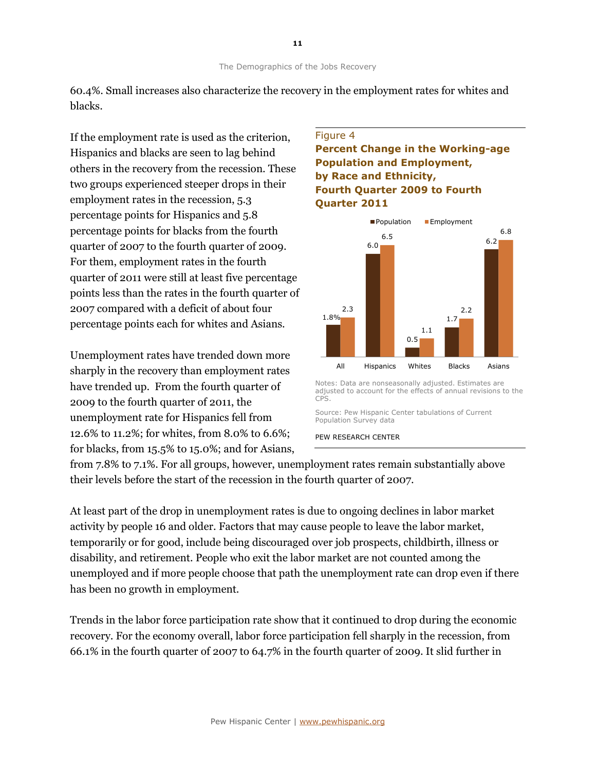60.4%. Small increases also characterize the recovery in the employment rates for whites and blacks.

If the employment rate is used as the criterion, Hispanics and blacks are seen to lag behind others in the recovery from the recession. These two groups experienced steeper drops in their employment rates in the recession, 5.3 percentage points for Hispanics and 5.8 percentage points for blacks from the fourth quarter of 2007 to the fourth quarter of 2009. For them, employment rates in the fourth quarter of 2011 were still at least five percentage points less than the rates in the fourth quarter of 2007 compared with a deficit of about four percentage points each for whites and Asians.

Unemployment rates have trended down more sharply in the recovery than employment rates have trended up. From the fourth quarter of 2009 to the fourth quarter of 2011, the unemployment rate for Hispanics fell from 12.6% to 11.2%; for whites, from 8.0% to 6.6%; for blacks, from 15.5% to 15.0%; and for Asians,

### Figure 4

Percent Change in the Working-age Population and Employment, by Race and Ethnicity, Fourth Quarter 2009 to Fourth Quarter 2011



Notes: Data are nonseasonally adjusted. Estimates are adjusted to account for the effects of annual revisions to the CPS.

Source: Pew Hispanic Center tabulations of Current Population Survey data

PEW RESEARCH CENTER

from 7.8% to 7.1%. For all groups, however, unemployment rates remain substantially above their levels before the start of the recession in the fourth quarter of 2007.

At least part of the drop in unemployment rates is due to ongoing declines in labor market activity by people 16 and older. Factors that may cause people to leave the labor market, temporarily or for good, include being discouraged over job prospects, childbirth, illness or disability, and retirement. People who exit the labor market are not counted among the unemployed and if more people choose that path the unemployment rate can drop even if there has been no growth in employment.

Trends in the labor force participation rate show that it continued to drop during the economic recovery. For the economy overall, labor force participation fell sharply in the recession, from 66.1% in the fourth quarter of 2007 to 64.7% in the fourth quarter of 2009. It slid further in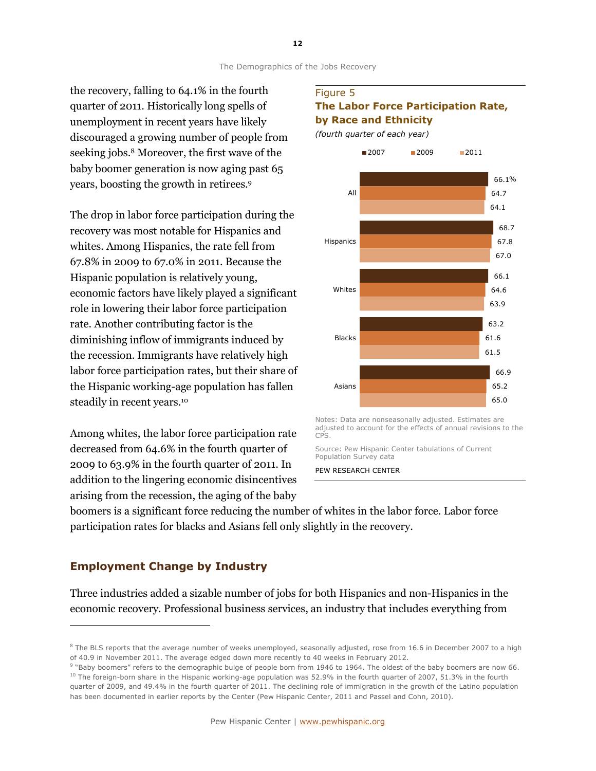the recovery, falling to 64.1% in the fourth quarter of 2011. Historically long spells of unemployment in recent years have likely discouraged a growing number of people from seeking jobs.8 Moreover, the first wave of the baby boomer generation is now aging past 65 years, boosting the growth in retirees.<sup>9</sup>

The drop in labor force participation during the recovery was most notable for Hispanics and whites. Among Hispanics, the rate fell from 67.8% in 2009 to 67.0% in 2011. Because the Hispanic population is relatively young, economic factors have likely played a significant role in lowering their labor force participation rate. Another contributing factor is the diminishing inflow of immigrants induced by the recession. Immigrants have relatively high labor force participation rates, but their share of the Hispanic working-age population has fallen steadily in recent years.<sup>10</sup>

Among whites, the labor force participation rate decreased from 64.6% in the fourth quarter of 2009 to 63.9% in the fourth quarter of 2011. In addition to the lingering economic disincentives arising from the recession, the aging of the baby

### Figure 5

## The Labor Force Participation Rate, by Race and Ethnicity

(fourth quarter of each year)



Notes: Data are nonseasonally adjusted. Estimates are adjusted to account for the effects of annual revisions to the CPS.

Source: Pew Hispanic Center tabulations of Current Population Survey data

PEW RESEARCH CENTER

boomers is a significant force reducing the number of whites in the labor force. Labor force participation rates for blacks and Asians fell only slightly in the recovery.

### Employment Change by Industry

1

Three industries added a sizable number of jobs for both Hispanics and non-Hispanics in the economic recovery. Professional business services, an industry that includes everything from

<sup>&</sup>lt;sup>8</sup> The BLS reports that the average number of weeks unemployed, seasonally adjusted, rose from 16.6 in December 2007 to a high of 40.9 in November 2011. The average edged down more recently to 40 weeks in February 2012.

<sup>9</sup> "Baby boomers" refers to the demographic bulge of people born from 1946 to 1964. The oldest of the baby boomers are now 66.  $10$  The foreign-born share in the Hispanic working-age population was 52.9% in the fourth quarter of 2007, 51.3% in the fourth quarter of 2009, and 49.4% in the fourth quarter of 2011. The declining role of immigration in the growth of the Latino population has been documented in earlier reports by the Center (Pew Hispanic Center, 2011 and Passel and Cohn, 2010).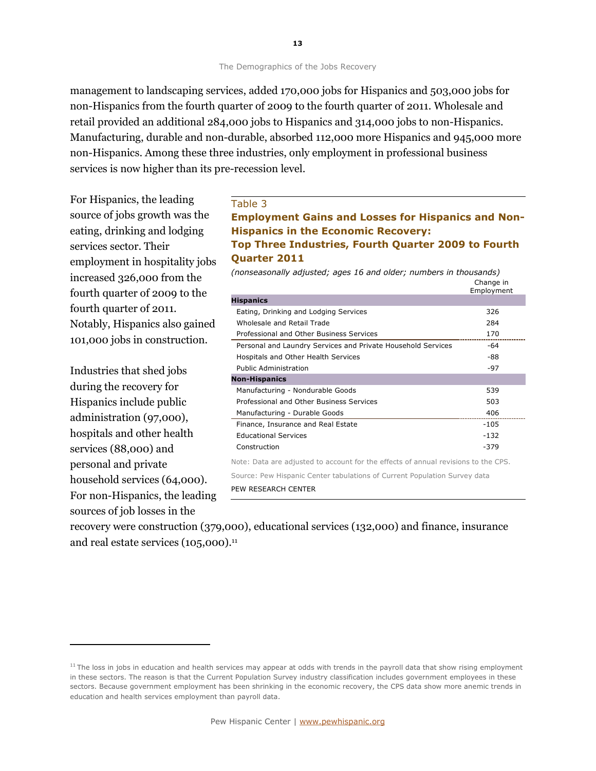management to landscaping services, added 170,000 jobs for Hispanics and 503,000 jobs for non-Hispanics from the fourth quarter of 2009 to the fourth quarter of 2011. Wholesale and retail provided an additional 284,000 jobs to Hispanics and 314,000 jobs to non-Hispanics. Manufacturing, durable and non-durable, absorbed 112,000 more Hispanics and 945,000 more non-Hispanics. Among these three industries, only employment in professional business services is now higher than its pre-recession level.

For Hispanics, the leading source of jobs growth was the eating, drinking and lodging services sector. Their employment in hospitality jobs increased 326,000 from the fourth quarter of 2009 to the fourth quarter of 2011. Notably, Hispanics also gained 101,000 jobs in construction.

Industries that shed jobs during the recovery for Hispanics include public administration (97,000), hospitals and other health services (88,000) and personal and private household services (64,000). For non-Hispanics, the leading sources of job losses in the

l,

### Table 3

## Employment Gains and Losses for Hispanics and Non-Hispanics in the Economic Recovery: Top Three Industries, Fourth Quarter 2009 to Fourth Quarter 2011

(nonseasonally adjusted; ages 16 and older; numbers in thousands) Change in

|                                                                                    | Employment |
|------------------------------------------------------------------------------------|------------|
| <b>Hispanics</b>                                                                   |            |
| Eating, Drinking and Lodging Services                                              | 326        |
| Wholesale and Retail Trade                                                         | 284        |
| Professional and Other Business Services                                           | 170        |
| Personal and Laundry Services and Private Household Services                       | -64        |
| Hospitals and Other Health Services                                                | -88        |
| <b>Public Administration</b>                                                       | -97        |
| <b>Non-Hispanics</b>                                                               |            |
| Manufacturing - Nondurable Goods                                                   | 539        |
| Professional and Other Business Services                                           | 503        |
| Manufacturing - Durable Goods                                                      | 406        |
| Finance, Insurance and Real Estate                                                 | $-105$     |
| <b>Educational Services</b>                                                        | $-132$     |
| Construction                                                                       | -379       |
| Note: Data are adjusted to account for the effects of annual revisions to the CPS. |            |

Source: Pew Hispanic Center tabulations of Current Population Survey data

PEW RESEARCH CENTER

recovery were construction (379,000), educational services (132,000) and finance, insurance and real estate services (105,000).<sup>11</sup>

<sup>&</sup>lt;sup>11</sup> The loss in jobs in education and health services may appear at odds with trends in the payroll data that show rising employment in these sectors. The reason is that the Current Population Survey industry classification includes government employees in these sectors. Because government employment has been shrinking in the economic recovery, the CPS data show more anemic trends in education and health services employment than payroll data.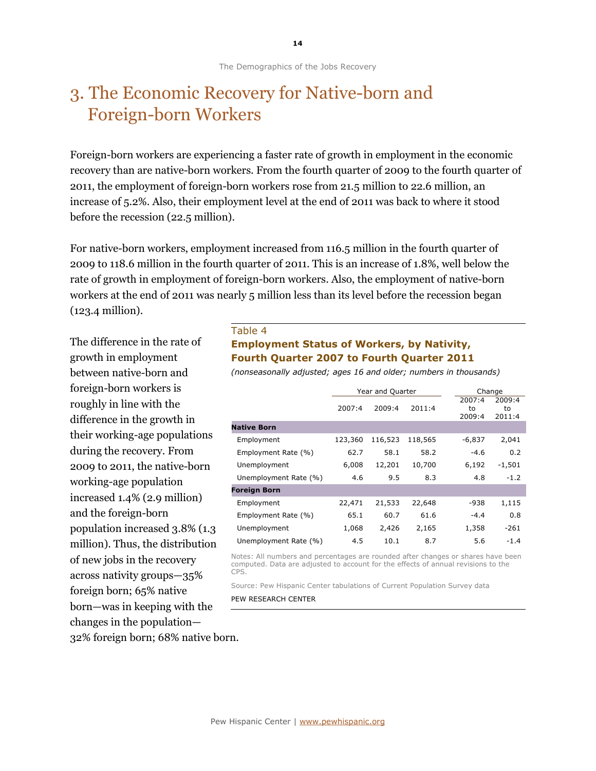# 3. The Economic Recovery for Native-born and Foreign-born Workers

Foreign-born workers are experiencing a faster rate of growth in employment in the economic recovery than are native-born workers. From the fourth quarter of 2009 to the fourth quarter of 2011, the employment of foreign-born workers rose from 21.5 million to 22.6 million, an increase of 5.2%. Also, their employment level at the end of 2011 was back to where it stood before the recession (22.5 million).

For native-born workers, employment increased from 116.5 million in the fourth quarter of 2009 to 118.6 million in the fourth quarter of 2011. This is an increase of 1.8%, well below the rate of growth in employment of foreign-born workers. Also, the employment of native-born workers at the end of 2011 was nearly 5 million less than its level before the recession began (123.4 million).

The difference in the rate of growth in employment between native-born and foreign-born workers is roughly in line with the difference in the growth in their working-age populations during the recovery. From 2009 to 2011, the native-born working-age population increased 1.4% (2.9 million) and the foreign-born population increased 3.8% (1.3 million). Thus, the distribution of new jobs in the recovery across nativity groups—35% foreign born; 65% native born—was in keeping with the changes in the population—

#### Table 4

## Employment Status of Workers, by Nativity, Fourth Quarter 2007 to Fourth Quarter 2011

(nonseasonally adjusted; ages 16 and older; numbers in thousands)

|                       |         | Year and Quarter |         | Change                 |                        |
|-----------------------|---------|------------------|---------|------------------------|------------------------|
|                       | 2007:4  | 2009:4           | 2011:4  | 2007:4<br>to<br>2009:4 | 2009:4<br>to<br>2011:4 |
| <b>Native Born</b>    |         |                  |         |                        |                        |
| Employment            | 123,360 | 116,523          | 118,565 | $-6,837$               | 2,041                  |
| Employment Rate (%)   | 62.7    | 58.1             | 58.2    | $-4.6$                 | 0.2                    |
| Unemployment          | 6,008   | 12,201           | 10,700  | 6,192                  | $-1,501$               |
| Unemployment Rate (%) | 4.6     | 9.5              | 8.3     | 4.8                    | $-1.2$                 |
| Foreign Born          |         |                  |         |                        |                        |
| Employment            | 22,471  | 21,533           | 22,648  | -938                   | 1,115                  |
| Employment Rate (%)   | 65.1    | 60.7             | 61.6    | $-4.4$                 | 0.8                    |
| Unemployment          | 1,068   | 2,426            | 2,165   | 1,358                  | $-261$                 |
| Unemployment Rate (%) | 4.5     | 10.1             | 8.7     | 5.6                    | $-1.4$                 |

Notes: All numbers and percentages are rounded after changes or shares have been computed. Data are adjusted to account for the effects of annual revisions to the CPS.

Source: Pew Hispanic Center tabulations of Current Population Survey data

PEW RESEARCH CENTER

32% foreign born; 68% native born.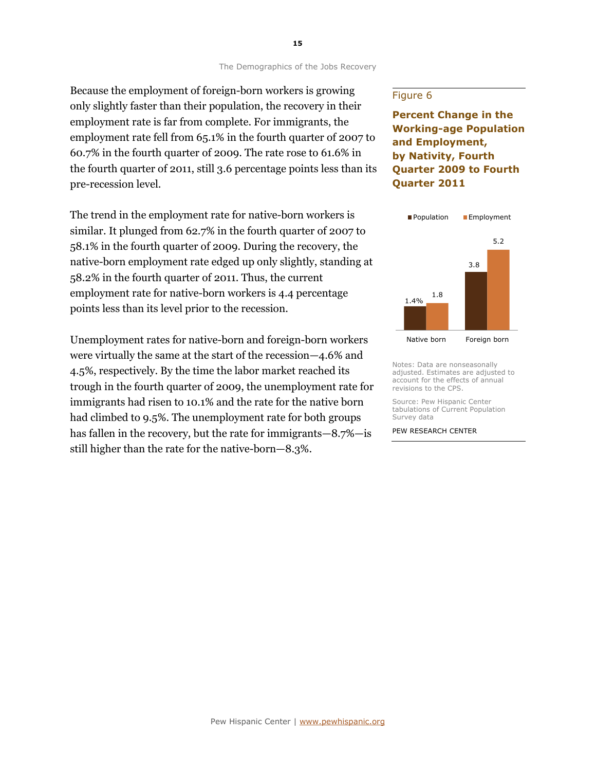Because the employment of foreign-born workers is growing only slightly faster than their population, the recovery in their employment rate is far from complete. For immigrants, the employment rate fell from 65.1% in the fourth quarter of 2007 to 60.7% in the fourth quarter of 2009. The rate rose to 61.6% in the fourth quarter of 2011, still 3.6 percentage points less than its pre-recession level.

The trend in the employment rate for native-born workers is similar. It plunged from 62.7% in the fourth quarter of 2007 to 58.1% in the fourth quarter of 2009. During the recovery, the native-born employment rate edged up only slightly, standing at 58.2% in the fourth quarter of 2011. Thus, the current employment rate for native-born workers is 4.4 percentage points less than its level prior to the recession.

Unemployment rates for native-born and foreign-born workers were virtually the same at the start of the recession—4.6% and 4.5%, respectively. By the time the labor market reached its trough in the fourth quarter of 2009, the unemployment rate for immigrants had risen to 10.1% and the rate for the native born had climbed to 9.5%. The unemployment rate for both groups has fallen in the recovery, but the rate for immigrants—8.7%—is still higher than the rate for the native-born—8.3%.

### Figure 6

Percent Change in the Working-age Population and Employment, by Nativity, Fourth Quarter 2009 to Fourth Quarter 2011



Notes: Data are nonseasonally adjusted. Estimates are adjusted to account for the effects of annual revisions to the CPS.

Source: Pew Hispanic Center tabulations of Current Population Survey data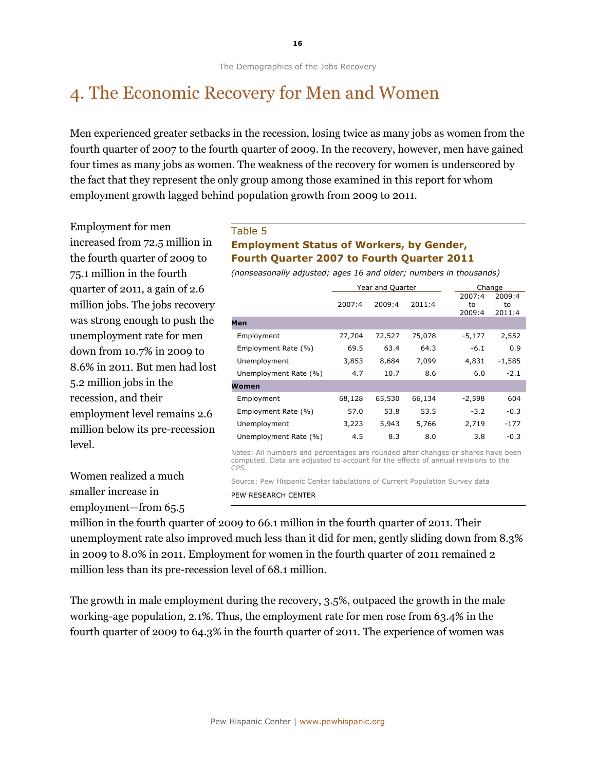# 4. The Economic Recovery for Men and Women

Men experienced greater setbacks in the recession, losing twice as many jobs as women from the fourth quarter of 2007 to the fourth quarter of 2009. In the recovery, however, men have gained four times as many jobs as women. The weakness of the recovery for women is underscored by the fact that they represent the only group among those examined in this report for whom employment growth lagged behind population growth from 2009 to 2011.

Employment for men increased from 72.5 million in the fourth quarter of 2009 to 75.1 million in the fourth quarter of 2011, a gain of 2.6 million jobs. The jobs recovery was strong enough to push the unemployment rate for men down from 10.7% in 2009 to 8.6% in 2011. But men had lost 5.2 million jobs in the recession, and their employment level remains 2.6 million below its pre-recession level.

Women realized a much smaller increase in employment—from 65.5

### Table 5

## Employment Status of Workers, by Gender, Fourth Quarter 2007 to Fourth Quarter 2011

(nonseasonally adjusted; ages 16 and older; numbers in thousands)

|                       |        | Year and Quarter |        | Change                 |                        |  |
|-----------------------|--------|------------------|--------|------------------------|------------------------|--|
|                       | 2007:4 | 2009:4           | 2011:4 | 2007:4<br>to<br>2009:4 | 2009:4<br>to<br>2011:4 |  |
| Men                   |        |                  |        |                        |                        |  |
| Employment            | 77,704 | 72,527           | 75,078 | $-5,177$               | 2,552                  |  |
| Employment Rate (%)   | 69.5   | 63.4             | 64.3   | $-6.1$                 | 0.9                    |  |
| Unemployment          | 3,853  | 8,684            | 7,099  | 4,831                  | $-1,585$               |  |
| Unemployment Rate (%) | 4.7    | 10.7             | 8.6    | 6.0                    | $-2.1$                 |  |
| Women                 |        |                  |        |                        |                        |  |
| Employment            | 68,128 | 65,530           | 66,134 | $-2,598$               | 604                    |  |
| Employment Rate (%)   | 57.0   | 53.8             | 53.5   | $-3.2$                 | $-0.3$                 |  |
| Unemployment          | 3,223  | 5,943            | 5,766  | 2,719                  | -177                   |  |
| Unemployment Rate (%) | 4.5    | 8.3              | 8.0    | 3.8                    | $-0.3$                 |  |

Notes: All numbers and percentages are rounded after changes or shares have been computed. Data are adjusted to account for the effects of annual revisions to the CPS.

Source: Pew Hispanic Center tabulations of Current Population Survey data

PEW RESEARCH CENTER

million in the fourth quarter of 2009 to 66.1 million in the fourth quarter of 2011. Their unemployment rate also improved much less than it did for men, gently sliding down from 8.3% in 2009 to 8.0% in 2011. Employment for women in the fourth quarter of 2011 remained 2 million less than its pre-recession level of 68.1 million.

The growth in male employment during the recovery, 3.5%, outpaced the growth in the male working-age population, 2.1%. Thus, the employment rate for men rose from 63.4% in the fourth quarter of 2009 to 64.3% in the fourth quarter of 2011. The experience of women was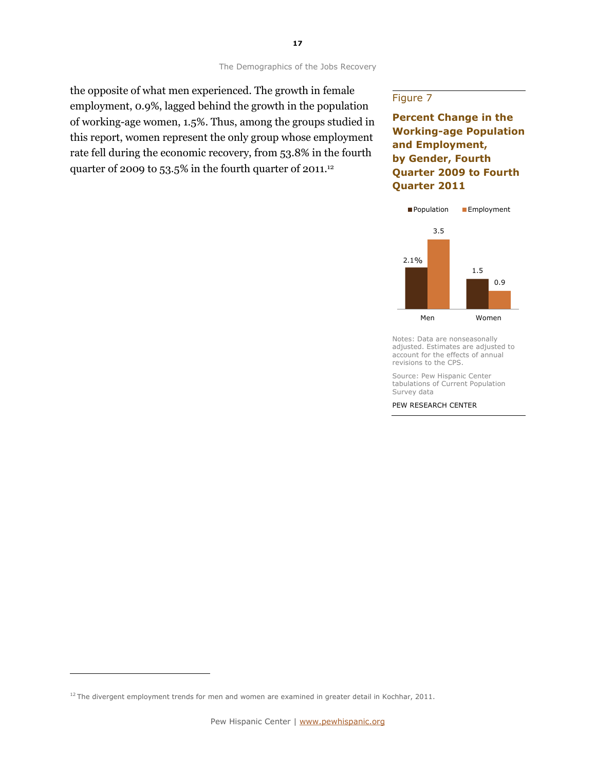the opposite of what men experienced. The growth in female employment, 0.9%, lagged behind the growth in the population of working-age women, 1.5%. Thus, among the groups studied in this report, women represent the only group whose employment rate fell during the economic recovery, from 53.8% in the fourth quarter of 2009 to 53.5% in the fourth quarter of 2011.<sup>12</sup>

## Figure 7

Percent Change in the Working-age Population and Employment, by Gender, Fourth Quarter 2009 to Fourth Quarter 2011



Notes: Data are nonseasonally adjusted. Estimates are adjusted to account for the effects of annual revisions to the CPS.

Source: Pew Hispanic Center tabulations of Current Population Survey data

### PEW RESEARCH CENTER

l,

 $12$ The divergent employment trends for men and women are examined in greater detail in Kochhar, 2011.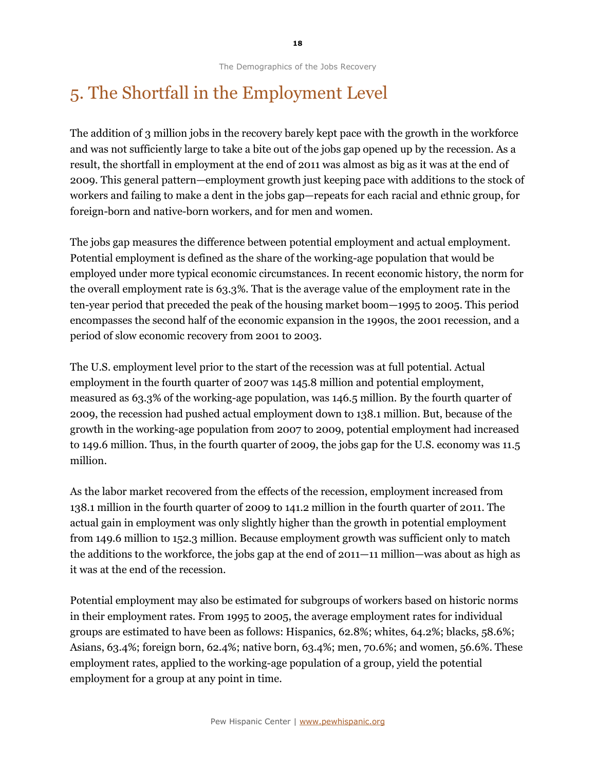# 5. The Shortfall in the Employment Level

The addition of 3 million jobs in the recovery barely kept pace with the growth in the workforce and was not sufficiently large to take a bite out of the jobs gap opened up by the recession. As a result, the shortfall in employment at the end of 2011 was almost as big as it was at the end of 2009. This general pattern—employment growth just keeping pace with additions to the stock of workers and failing to make a dent in the jobs gap—repeats for each racial and ethnic group, for foreign-born and native-born workers, and for men and women.

The jobs gap measures the difference between potential employment and actual employment. Potential employment is defined as the share of the working-age population that would be employed under more typical economic circumstances. In recent economic history, the norm for the overall employment rate is 63.3%. That is the average value of the employment rate in the ten-year period that preceded the peak of the housing market boom—1995 to 2005. This period encompasses the second half of the economic expansion in the 1990s, the 2001 recession, and a period of slow economic recovery from 2001 to 2003.

The U.S. employment level prior to the start of the recession was at full potential. Actual employment in the fourth quarter of 2007 was 145.8 million and potential employment, measured as 63.3% of the working-age population, was 146.5 million. By the fourth quarter of 2009, the recession had pushed actual employment down to 138.1 million. But, because of the growth in the working-age population from 2007 to 2009, potential employment had increased to 149.6 million. Thus, in the fourth quarter of 2009, the jobs gap for the U.S. economy was 11.5 million.

As the labor market recovered from the effects of the recession, employment increased from 138.1 million in the fourth quarter of 2009 to 141.2 million in the fourth quarter of 2011. The actual gain in employment was only slightly higher than the growth in potential employment from 149.6 million to 152.3 million. Because employment growth was sufficient only to match the additions to the workforce, the jobs gap at the end of 2011—11 million—was about as high as it was at the end of the recession.

Potential employment may also be estimated for subgroups of workers based on historic norms in their employment rates. From 1995 to 2005, the average employment rates for individual groups are estimated to have been as follows: Hispanics, 62.8%; whites, 64.2%; blacks, 58.6%; Asians, 63.4%; foreign born, 62.4%; native born, 63.4%; men, 70.6%; and women, 56.6%. These employment rates, applied to the working-age population of a group, yield the potential employment for a group at any point in time.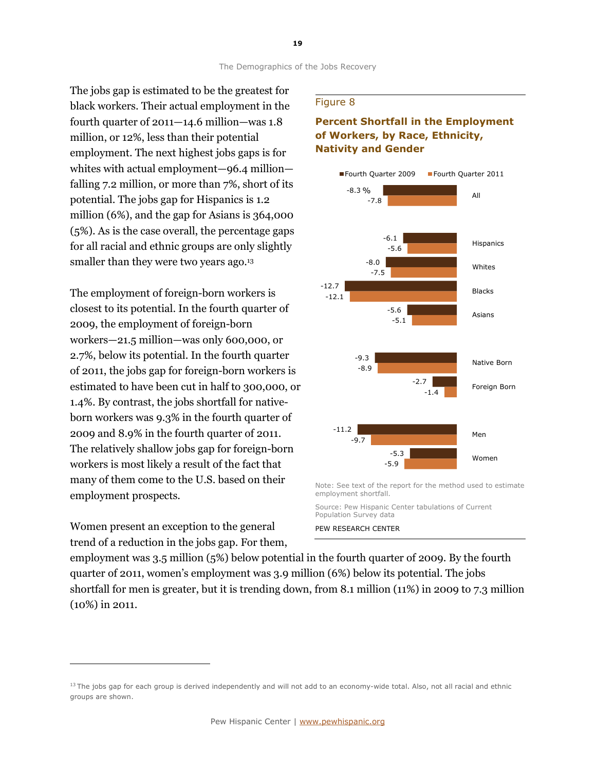The jobs gap is estimated to be the greatest for black workers. Their actual employment in the fourth quarter of 2011—14.6 million—was 1.8 million, or 12%, less than their potential employment. The next highest jobs gaps is for whites with actual employment—96.4 million falling 7.2 million, or more than 7%, short of its potential. The jobs gap for Hispanics is 1.2 million (6%), and the gap for Asians is 364,000 (5%). As is the case overall, the percentage gaps for all racial and ethnic groups are only slightly smaller than they were two years ago.<sup>13</sup>

The employment of foreign-born workers is closest to its potential. In the fourth quarter of 2009, the employment of foreign-born workers—21.5 million—was only 600,000, or 2.7%, below its potential. In the fourth quarter of 2011, the jobs gap for foreign-born workers is estimated to have been cut in half to 300,000, or 1.4%. By contrast, the jobs shortfall for nativeborn workers was 9.3% in the fourth quarter of 2009 and 8.9% in the fourth quarter of 2011. The relatively shallow jobs gap for foreign-born workers is most likely a result of the fact that many of them come to the U.S. based on their employment prospects.

Women present an exception to the general trend of a reduction in the jobs gap. For them,

i<br>I

### Figure 8

## Percent Shortfall in the Employment of Workers, by Race, Ethnicity, Nativity and Gender



Source: Pew Hispanic Center tabulations of Current Population Survey data PEW RESEARCH CENTER

employment was 3.5 million (5%) below potential in the fourth quarter of 2009. By the fourth quarter of 2011, women's employment was 3.9 million (6%) below its potential. The jobs shortfall for men is greater, but it is trending down, from 8.1 million (11%) in 2009 to 7.3 million (10%) in 2011.

<sup>&</sup>lt;sup>13</sup> The jobs gap for each group is derived independently and will not add to an economy-wide total. Also, not all racial and ethnic groups are shown.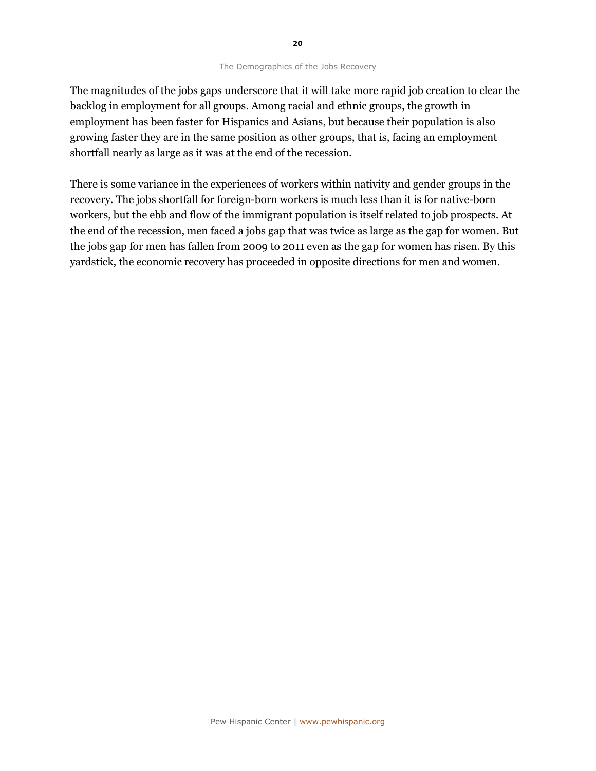The magnitudes of the jobs gaps underscore that it will take more rapid job creation to clear the backlog in employment for all groups. Among racial and ethnic groups, the growth in employment has been faster for Hispanics and Asians, but because their population is also growing faster they are in the same position as other groups, that is, facing an employment shortfall nearly as large as it was at the end of the recession.

There is some variance in the experiences of workers within nativity and gender groups in the recovery. The jobs shortfall for foreign-born workers is much less than it is for native-born workers, but the ebb and flow of the immigrant population is itself related to job prospects. At the end of the recession, men faced a jobs gap that was twice as large as the gap for women. But the jobs gap for men has fallen from 2009 to 2011 even as the gap for women has risen. By this yardstick, the economic recovery has proceeded in opposite directions for men and women.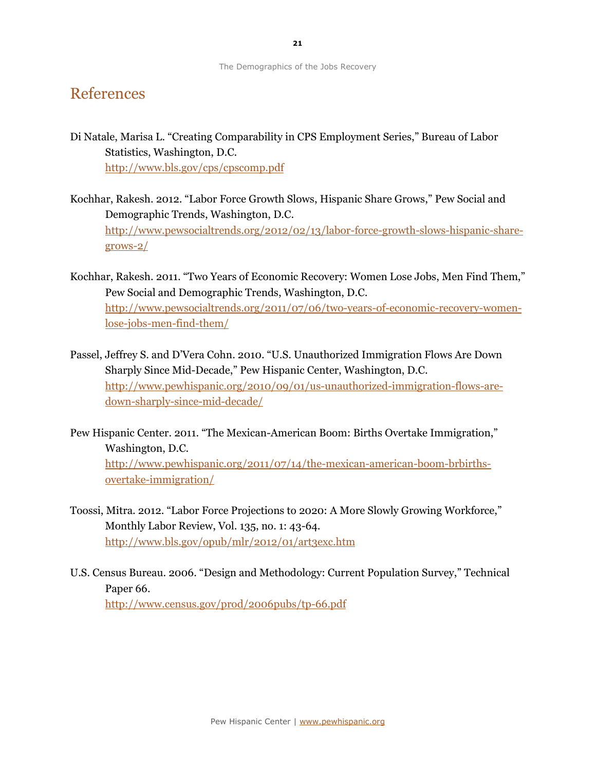# References

- Di Natale, Marisa L. "Creating Comparability in CPS Employment Series," Bureau of Labor Statistics, Washington, D.C. http://www.bls.gov/cps/cpscomp.pdf
- Kochhar, Rakesh. 2012. "Labor Force Growth Slows, Hispanic Share Grows," Pew Social and Demographic Trends, Washington, D.C. http://www.pewsocialtrends.org/2012/02/13/labor-force-growth-slows-hispanic-sharegrows-2/
- Kochhar, Rakesh. 2011. "Two Years of Economic Recovery: Women Lose Jobs, Men Find Them," Pew Social and Demographic Trends, Washington, D.C. http://www.pewsocialtrends.org/2011/07/06/two-years-of-economic-recovery-womenlose-jobs-men-find-them/
- Passel, Jeffrey S. and D'Vera Cohn. 2010. "U.S. Unauthorized Immigration Flows Are Down Sharply Since Mid-Decade," Pew Hispanic Center, Washington, D.C. http://www.pewhispanic.org/2010/09/01/us-unauthorized-immigration-flows-aredown-sharply-since-mid-decade/
- Pew Hispanic Center. 2011. "The Mexican-American Boom: Births Overtake Immigration," Washington, D.C. http://www.pewhispanic.org/2011/07/14/the-mexican-american-boom-brbirthsovertake-immigration/
- Toossi, Mitra. 2012. "Labor Force Projections to 2020: A More Slowly Growing Workforce," Monthly Labor Review, Vol. 135, no. 1: 43-64. http://www.bls.gov/opub/mlr/2012/01/art3exc.htm
- U.S. Census Bureau. 2006. "Design and Methodology: Current Population Survey," Technical Paper 66.

http://www.census.gov/prod/2006pubs/tp-66.pdf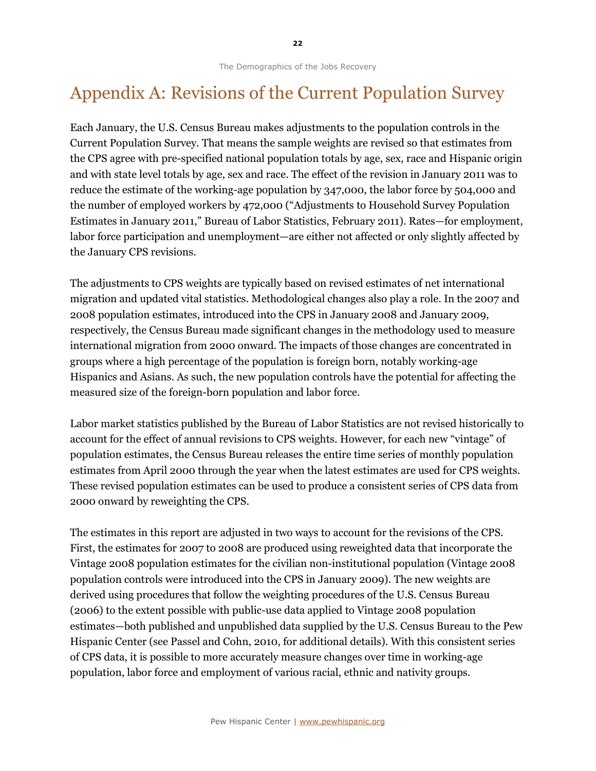# Appendix A: Revisions of the Current Population Survey

Each January, the U.S. Census Bureau makes adjustments to the population controls in the Current Population Survey. That means the sample weights are revised so that estimates from the CPS agree with pre-specified national population totals by age, sex, race and Hispanic origin and with state level totals by age, sex and race. The effect of the revision in January 2011 was to reduce the estimate of the working-age population by 347,000, the labor force by 504,000 and the number of employed workers by 472,000 ("Adjustments to Household Survey Population Estimates in January 2011," Bureau of Labor Statistics, February 2011). Rates—for employment, labor force participation and unemployment—are either not affected or only slightly affected by the January CPS revisions.

The adjustments to CPS weights are typically based on revised estimates of net international migration and updated vital statistics. Methodological changes also play a role. In the 2007 and 2008 population estimates, introduced into the CPS in January 2008 and January 2009, respectively, the Census Bureau made significant changes in the methodology used to measure international migration from 2000 onward. The impacts of those changes are concentrated in groups where a high percentage of the population is foreign born, notably working-age Hispanics and Asians. As such, the new population controls have the potential for affecting the measured size of the foreign-born population and labor force.

Labor market statistics published by the Bureau of Labor Statistics are not revised historically to account for the effect of annual revisions to CPS weights. However, for each new "vintage" of population estimates, the Census Bureau releases the entire time series of monthly population estimates from April 2000 through the year when the latest estimates are used for CPS weights. These revised population estimates can be used to produce a consistent series of CPS data from 2000 onward by reweighting the CPS.

The estimates in this report are adjusted in two ways to account for the revisions of the CPS. First, the estimates for 2007 to 2008 are produced using reweighted data that incorporate the Vintage 2008 population estimates for the civilian non-institutional population (Vintage 2008 population controls were introduced into the CPS in January 2009). The new weights are derived using procedures that follow the weighting procedures of the U.S. Census Bureau (2006) to the extent possible with public-use data applied to Vintage 2008 population estimates—both published and unpublished data supplied by the U.S. Census Bureau to the Pew Hispanic Center (see Passel and Cohn, 2010, for additional details). With this consistent series of CPS data, it is possible to more accurately measure changes over time in working-age population, labor force and employment of various racial, ethnic and nativity groups.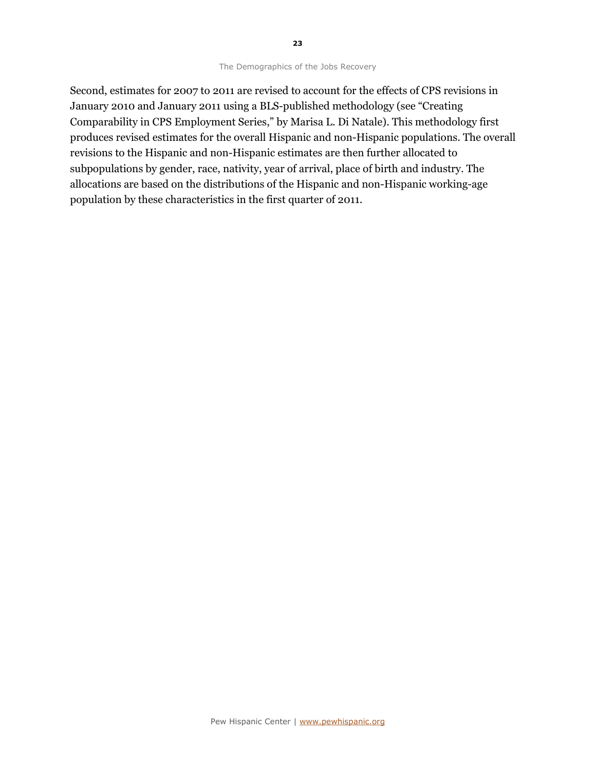Second, estimates for 2007 to 2011 are revised to account for the effects of CPS revisions in January 2010 and January 2011 using a BLS-published methodology (see "Creating Comparability in CPS Employment Series," by Marisa L. Di Natale). This methodology first produces revised estimates for the overall Hispanic and non-Hispanic populations. The overall revisions to the Hispanic and non-Hispanic estimates are then further allocated to subpopulations by gender, race, nativity, year of arrival, place of birth and industry. The allocations are based on the distributions of the Hispanic and non-Hispanic working-age population by these characteristics in the first quarter of 2011.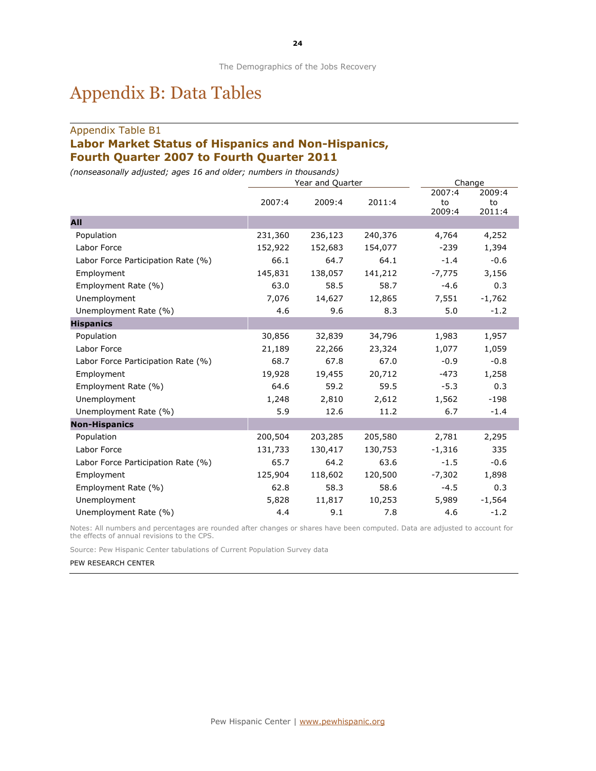# Appendix B: Data Tables

## Appendix Table B1 Labor Market Status of Hispanics and Non-Hispanics, Fourth Quarter 2007 to Fourth Quarter 2011

(nonseasonally adjusted; ages 16 and older; numbers in thousands)

|                                    |         | Year and Quarter | Change  |                        |                        |
|------------------------------------|---------|------------------|---------|------------------------|------------------------|
|                                    | 2007:4  | 2009:4           | 2011:4  | 2007:4<br>to<br>2009:4 | 2009:4<br>to<br>2011:4 |
| <b>AII</b>                         |         |                  |         |                        |                        |
| Population                         | 231,360 | 236,123          | 240,376 | 4,764                  | 4,252                  |
| Labor Force                        | 152,922 | 152,683          | 154,077 | $-239$                 | 1,394                  |
| Labor Force Participation Rate (%) | 66.1    | 64.7             | 64.1    | $-1.4$                 | $-0.6$                 |
| Employment                         | 145,831 | 138,057          | 141,212 | $-7,775$               | 3,156                  |
| Employment Rate (%)                | 63.0    | 58.5             | 58.7    | $-4.6$                 | 0.3                    |
| Unemployment                       | 7,076   | 14,627           | 12,865  | 7,551                  | $-1,762$               |
| Unemployment Rate (%)              | 4.6     | 9.6              | 8.3     | 5.0                    | $-1.2$                 |
| <b>Hispanics</b>                   |         |                  |         |                        |                        |
| Population                         | 30,856  | 32,839           | 34,796  | 1,983                  | 1,957                  |
| Labor Force                        | 21,189  | 22,266           | 23,324  | 1,077                  | 1,059                  |
| Labor Force Participation Rate (%) | 68.7    | 67.8             | 67.0    | $-0.9$                 | $-0.8$                 |
| Employment                         | 19,928  | 19,455           | 20,712  | $-473$                 | 1,258                  |
| Employment Rate (%)                | 64.6    | 59.2             | 59.5    | $-5.3$                 | 0.3                    |
| Unemployment                       | 1,248   | 2,810            | 2,612   | 1,562                  | $-198$                 |
| Unemployment Rate (%)              | 5.9     | 12.6             | 11.2    | 6.7                    | $-1.4$                 |
| <b>Non-Hispanics</b>               |         |                  |         |                        |                        |
| Population                         | 200,504 | 203,285          | 205,580 | 2,781                  | 2,295                  |
| Labor Force                        | 131,733 | 130,417          | 130,753 | $-1,316$               | 335                    |
| Labor Force Participation Rate (%) | 65.7    | 64.2             | 63.6    | $-1.5$                 | $-0.6$                 |
| Employment                         | 125,904 | 118,602          | 120,500 | $-7,302$               | 1,898                  |
| Employment Rate (%)                | 62.8    | 58.3             | 58.6    | $-4.5$                 | 0.3                    |
| Unemployment                       | 5,828   | 11,817           | 10,253  | 5,989                  | $-1,564$               |
| Unemployment Rate (%)              | 4.4     | 9.1              | 7.8     | 4.6                    | $-1.2$                 |

Notes: All numbers and percentages are rounded after changes or shares have been computed. Data are adjusted to account for the effects of annual revisions to the CPS.

Source: Pew Hispanic Center tabulations of Current Population Survey data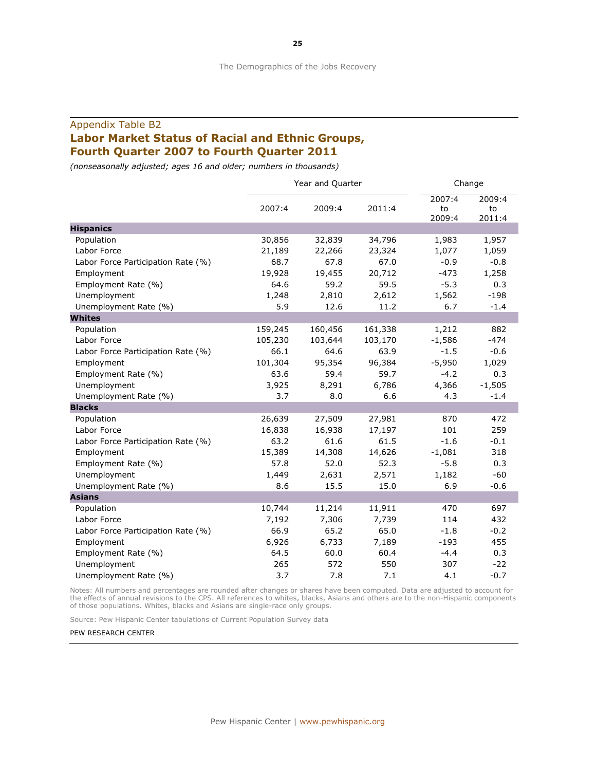## Appendix Table B2 Labor Market Status of Racial and Ethnic Groups, Fourth Quarter 2007 to Fourth Quarter 2011

(nonseasonally adjusted; ages 16 and older; numbers in thousands)

|                                    |         | Year and Quarter | Change  |                        |                        |
|------------------------------------|---------|------------------|---------|------------------------|------------------------|
|                                    | 2007:4  | 2009:4           | 2011:4  | 2007:4<br>to<br>2009:4 | 2009:4<br>to<br>2011:4 |
| <b>Hispanics</b>                   |         |                  |         |                        |                        |
| Population                         | 30,856  | 32,839           | 34,796  | 1,983                  | 1,957                  |
| Labor Force                        | 21,189  | 22,266           | 23,324  | 1,077                  | 1,059                  |
| Labor Force Participation Rate (%) | 68.7    | 67.8             | 67.0    | $-0.9$                 | $-0.8$                 |
| Employment                         | 19,928  | 19,455           | 20,712  | $-473$                 | 1,258                  |
| Employment Rate (%)                | 64.6    | 59.2             | 59.5    | $-5.3$                 | 0.3                    |
| Unemployment                       | 1,248   | 2,810            | 2,612   | 1,562                  | $-198$                 |
| Unemployment Rate (%)              | 5.9     | 12.6             | 11.2    | 6.7                    | $-1.4$                 |
| <b>Whites</b>                      |         |                  |         |                        |                        |
| Population                         | 159,245 | 160,456          | 161,338 | 1,212                  | 882                    |
| Labor Force                        | 105,230 | 103,644          | 103,170 | $-1,586$               | $-474$                 |
| Labor Force Participation Rate (%) | 66.1    | 64.6             | 63.9    | $-1.5$                 | $-0.6$                 |
| Employment                         | 101,304 | 95,354           | 96,384  | $-5,950$               | 1,029                  |
| Employment Rate (%)                | 63.6    | 59.4             | 59.7    | $-4.2$                 | 0.3                    |
| Unemployment                       | 3,925   | 8,291            | 6,786   | 4,366                  | $-1,505$               |
| Unemployment Rate (%)              | 3.7     | 8.0              | 6.6     | 4.3                    | $-1.4$                 |
| <b>Blacks</b>                      |         |                  |         |                        |                        |
| Population                         | 26,639  | 27,509           | 27,981  | 870                    | 472                    |
| Labor Force                        | 16,838  | 16,938           | 17,197  | 101                    | 259                    |
| Labor Force Participation Rate (%) | 63.2    | 61.6             | 61.5    | $-1.6$                 | $-0.1$                 |
| Employment                         | 15,389  | 14,308           | 14,626  | $-1,081$               | 318                    |
| Employment Rate (%)                | 57.8    | 52.0             | 52.3    | $-5.8$                 | 0.3                    |
| Unemployment                       | 1,449   | 2,631            | 2,571   | 1,182                  | $-60$                  |
| Unemployment Rate (%)              | 8.6     | 15.5             | 15.0    | 6.9                    | $-0.6$                 |
| <b>Asians</b>                      |         |                  |         |                        |                        |
| Population                         | 10,744  | 11,214           | 11,911  | 470                    | 697                    |
| Labor Force                        | 7,192   | 7,306            | 7,739   | 114                    | 432                    |
| Labor Force Participation Rate (%) | 66.9    | 65.2             | 65.0    | $-1.8$                 | $-0.2$                 |
| Employment                         | 6,926   | 6,733            | 7,189   | $-193$                 | 455                    |
| Employment Rate (%)                | 64.5    | 60.0             | 60.4    | $-4.4$                 | 0.3                    |
| Unemployment                       | 265     | 572              | 550     | 307                    | $-22$                  |
| Unemployment Rate (%)              | 3.7     | 7.8              | 7.1     | 4.1                    | $-0.7$                 |

Notes: All numbers and percentages are rounded after changes or shares have been computed. Data are adjusted to account for the effects of annual revisions to the CPS. All references to whites, blacks, Asians and others are to the non-Hispanic components of those populations. Whites, blacks and Asians are single-race only groups.

Source: Pew Hispanic Center tabulations of Current Population Survey data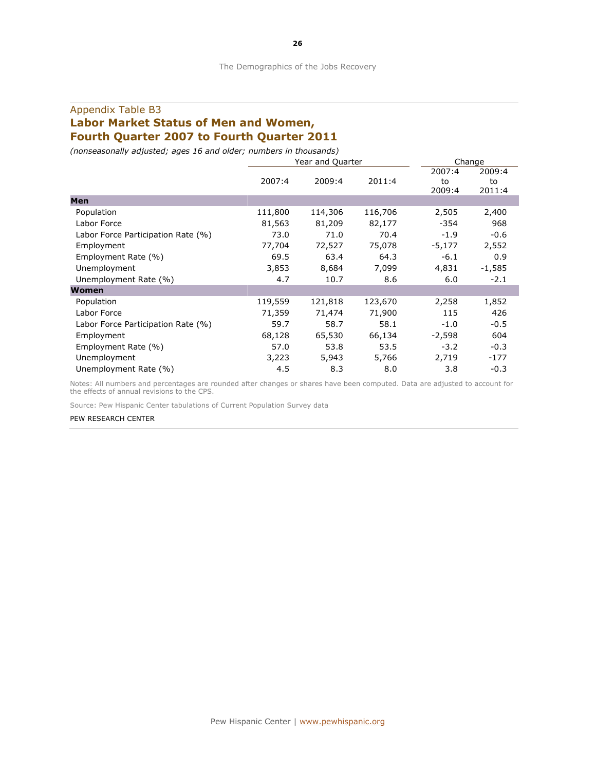## Appendix Table B3 Labor Market Status of Men and Women, Fourth Quarter 2007 to Fourth Quarter 2011

(nonseasonally adjusted; ages 16 and older; numbers in thousands)

|                                    |         | Year and Quarter | Change  |                        |                        |
|------------------------------------|---------|------------------|---------|------------------------|------------------------|
|                                    | 2007:4  | 2009:4           | 2011:4  | 2007:4<br>to<br>2009:4 | 2009:4<br>to<br>2011:4 |
| <b>Men</b>                         |         |                  |         |                        |                        |
| Population                         | 111,800 | 114,306          | 116,706 | 2,505                  | 2,400                  |
| Labor Force                        | 81,563  | 81,209           | 82,177  | $-354$                 | 968                    |
| Labor Force Participation Rate (%) | 73.0    | 71.0             | 70.4    | $-1.9$                 | $-0.6$                 |
| Employment                         | 77,704  | 72,527           | 75,078  | $-5,177$               | 2,552                  |
| Employment Rate (%)                | 69.5    | 63.4             | 64.3    | $-6.1$                 | 0.9                    |
| Unemployment                       | 3,853   | 8,684            | 7,099   | 4,831                  | $-1,585$               |
| Unemployment Rate (%)              | 4.7     | 10.7             | 8.6     | 6.0                    | $-2.1$                 |
| Women                              |         |                  |         |                        |                        |
| Population                         | 119,559 | 121,818          | 123,670 | 2,258                  | 1,852                  |
| Labor Force                        | 71,359  | 71,474           | 71,900  | 115                    | 426                    |
| Labor Force Participation Rate (%) | 59.7    | 58.7             | 58.1    | $-1.0$                 | $-0.5$                 |
| Employment                         | 68,128  | 65,530           | 66,134  | $-2,598$               | 604                    |
| Employment Rate (%)                | 57.0    | 53.8             | 53.5    | $-3.2$                 | $-0.3$                 |
| Unemployment                       | 3,223   | 5,943            | 5,766   | 2,719                  | $-177$                 |
| Unemployment Rate (%)              | 4.5     | 8.3              | 8.0     | 3.8                    | $-0.3$                 |

Notes: All numbers and percentages are rounded after changes or shares have been computed. Data are adjusted to account for the effects of annual revisions to the CPS.

Source: Pew Hispanic Center tabulations of Current Population Survey data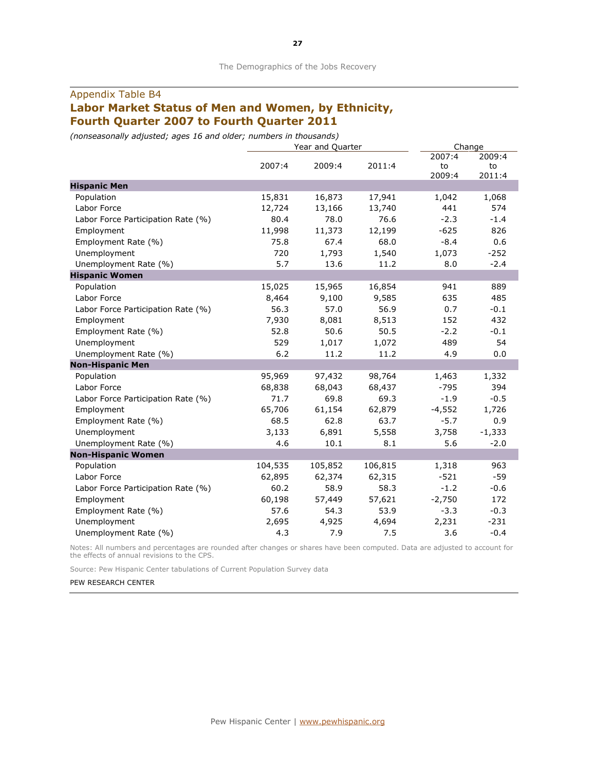# Labor Market Status of Men and Women, by Ethnicity, Fourth Quarter 2007 to Fourth Quarter 2011

(nonseasonally adjusted; ages 16 and older; numbers in thousands)

|                                    |         | Year and Quarter | Change  |          |          |
|------------------------------------|---------|------------------|---------|----------|----------|
|                                    |         |                  |         | 2007:4   | 2009:4   |
|                                    | 2007:4  | 2009:4           | 2011:4  | to       | to       |
|                                    |         |                  |         | 2009:4   | 2011:4   |
| <b>Hispanic Men</b>                |         |                  |         |          |          |
| Population                         | 15,831  | 16,873           | 17,941  | 1,042    | 1,068    |
| Labor Force                        | 12,724  | 13,166           | 13,740  | 441      | 574      |
| Labor Force Participation Rate (%) | 80.4    | 78.0             | 76.6    | $-2.3$   | $-1.4$   |
| Employment                         | 11,998  | 11,373           | 12,199  | $-625$   | 826      |
| Employment Rate (%)                | 75.8    | 67.4             | 68.0    | $-8.4$   | 0.6      |
| Unemployment                       | 720     | 1,793            | 1,540   | 1,073    | $-252$   |
| Unemployment Rate (%)              | 5.7     | 13.6             | 11.2    | 8.0      | $-2.4$   |
| <b>Hispanic Women</b>              |         |                  |         |          |          |
| Population                         | 15,025  | 15,965           | 16,854  | 941      | 889      |
| Labor Force                        | 8,464   | 9,100            | 9,585   | 635      | 485      |
| Labor Force Participation Rate (%) | 56.3    | 57.0             | 56.9    | 0.7      | $-0.1$   |
| Employment                         | 7,930   | 8,081            | 8,513   | 152      | 432      |
| Employment Rate (%)                | 52.8    | 50.6             | 50.5    | $-2.2$   | $-0.1$   |
| Unemployment                       | 529     | 1,017            | 1,072   | 489      | 54       |
| Unemployment Rate (%)              | 6.2     | 11.2             | 11.2    | 4.9      | 0.0      |
| <b>Non-Hispanic Men</b>            |         |                  |         |          |          |
| Population                         | 95,969  | 97,432           | 98,764  | 1,463    | 1,332    |
| Labor Force                        | 68,838  | 68,043           | 68,437  | $-795$   | 394      |
| Labor Force Participation Rate (%) | 71.7    | 69.8             | 69.3    | $-1.9$   | $-0.5$   |
| Employment                         | 65,706  | 61,154           | 62,879  | $-4,552$ | 1,726    |
| Employment Rate (%)                | 68.5    | 62.8             | 63.7    | $-5.7$   | 0.9      |
| Unemployment                       | 3,133   | 6,891            | 5,558   | 3,758    | $-1,333$ |
| Unemployment Rate (%)              | 4.6     | 10.1             | 8.1     | 5.6      | $-2.0$   |
| <b>Non-Hispanic Women</b>          |         |                  |         |          |          |
| Population                         | 104,535 | 105,852          | 106,815 | 1,318    | 963      |
| Labor Force                        | 62,895  | 62,374           | 62,315  | $-521$   | $-59$    |
| Labor Force Participation Rate (%) | 60.2    | 58.9             | 58.3    | $-1.2$   | $-0.6$   |
| Employment                         | 60,198  | 57,449           | 57,621  | $-2,750$ | 172      |
| Employment Rate (%)                | 57.6    | 54.3             | 53.9    | $-3.3$   | $-0.3$   |
| Unemployment                       | 2,695   | 4,925            | 4,694   | 2,231    | $-231$   |
| Unemployment Rate (%)              | 4.3     | 7.9              | 7.5     | 3.6      | $-0.4$   |

Notes: All numbers and percentages are rounded after changes or shares have been computed. Data are adjusted to account for the effects of annual revisions to the CPS.

Source: Pew Hispanic Center tabulations of Current Population Survey data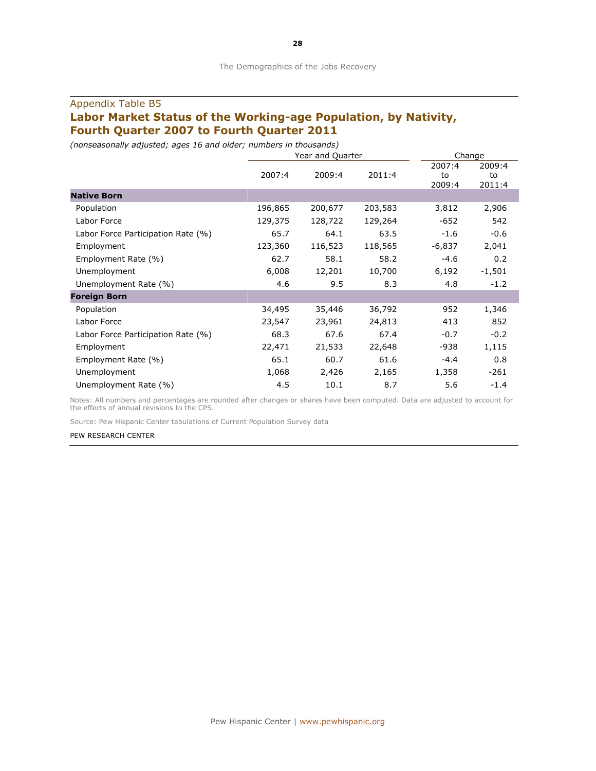# Labor Market Status of the Working-age Population, by Nativity, Fourth Quarter 2007 to Fourth Quarter 2011

(nonseasonally adjusted; ages 16 and older; numbers in thousands)

|                                    |         | Year and Quarter | Change  |                        |                        |
|------------------------------------|---------|------------------|---------|------------------------|------------------------|
|                                    | 2007:4  | 2009:4           | 2011:4  | 2007:4<br>to<br>2009:4 | 2009:4<br>to<br>2011:4 |
| <b>Native Born</b>                 |         |                  |         |                        |                        |
| Population                         | 196,865 | 200,677          | 203,583 | 3,812                  | 2,906                  |
| Labor Force                        | 129,375 | 128,722          | 129,264 | $-652$                 | 542                    |
| Labor Force Participation Rate (%) | 65.7    | 64.1             | 63.5    | $-1.6$                 | $-0.6$                 |
| Employment                         | 123,360 | 116,523          | 118,565 | $-6,837$               | 2,041                  |
| Employment Rate (%)                | 62.7    | 58.1             | 58.2    | $-4.6$                 | 0.2                    |
| Unemployment                       | 6,008   | 12,201           | 10,700  | 6,192                  | $-1,501$               |
| Unemployment Rate (%)              | 4.6     | 9.5              | 8.3     | 4.8                    | $-1.2$                 |
| <b>Foreign Born</b>                |         |                  |         |                        |                        |
| Population                         | 34,495  | 35,446           | 36,792  | 952                    | 1,346                  |
| Labor Force                        | 23,547  | 23,961           | 24,813  | 413                    | 852                    |
| Labor Force Participation Rate (%) | 68.3    | 67.6             | 67.4    | $-0.7$                 | $-0.2$                 |
| Employment                         | 22,471  | 21,533           | 22,648  | $-938$                 | 1,115                  |
| Employment Rate (%)                | 65.1    | 60.7             | 61.6    | $-4.4$                 | 0.8                    |
| Unemployment                       | 1,068   | 2,426            | 2,165   | 1,358                  | $-261$                 |
| Unemployment Rate (%)              | 4.5     | 10.1             | 8.7     | 5.6                    | $-1.4$                 |

Notes: All numbers and percentages are rounded after changes or shares have been computed. Data are adjusted to account for the effects of annual revisions to the CPS.

Source: Pew Hispanic Center tabulations of Current Population Survey data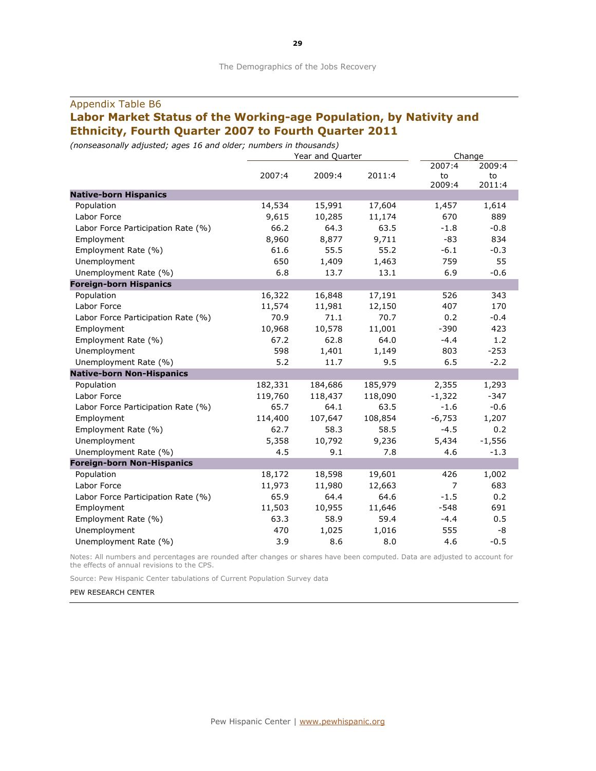# Labor Market Status of the Working-age Population, by Nativity and Ethnicity, Fourth Quarter 2007 to Fourth Quarter 2011

(nonseasonally adjusted; ages 16 and older; numbers in thousands)

|                                    |         | Year and Quarter |         | Change         |          |  |
|------------------------------------|---------|------------------|---------|----------------|----------|--|
|                                    |         |                  |         | 2007:4         | 2009:4   |  |
|                                    | 2007:4  | 2009:4           | 2011:4  | to             | to       |  |
|                                    |         |                  |         | 2009:4         | 2011:4   |  |
| <b>Native-born Hispanics</b>       |         |                  |         |                |          |  |
| Population                         | 14,534  | 15,991           | 17,604  | 1,457          | 1,614    |  |
| Labor Force                        | 9,615   | 10,285           | 11,174  | 670            | 889      |  |
| Labor Force Participation Rate (%) | 66.2    | 64.3             | 63.5    | $-1.8$         | $-0.8$   |  |
| Employment                         | 8,960   | 8,877            | 9,711   | $-83$          | 834      |  |
| Employment Rate (%)                | 61.6    | 55.5             | 55.2    | $-6.1$         | $-0.3$   |  |
| Unemployment                       | 650     | 1,409            | 1,463   | 759            | 55       |  |
| Unemployment Rate (%)              | 6.8     | 13.7             | 13.1    | 6.9            | $-0.6$   |  |
| <b>Foreign-born Hispanics</b>      |         |                  |         |                |          |  |
| Population                         | 16,322  | 16,848           | 17,191  | 526            | 343      |  |
| Labor Force                        | 11,574  | 11,981           | 12,150  | 407            | 170      |  |
| Labor Force Participation Rate (%) | 70.9    | 71.1             | 70.7    | 0.2            | $-0.4$   |  |
| Employment                         | 10,968  | 10,578           | 11,001  | $-390$         | 423      |  |
| Employment Rate (%)                | 67.2    | 62.8             | 64.0    | $-4.4$         | 1.2      |  |
| Unemployment                       | 598     | 1,401            | 1,149   | 803            | $-253$   |  |
| Unemployment Rate (%)              | 5.2     | 11.7             | 9.5     | 6.5            | $-2.2$   |  |
| <b>Native-born Non-Hispanics</b>   |         |                  |         |                |          |  |
| Population                         | 182,331 | 184,686          | 185,979 | 2,355          | 1,293    |  |
| Labor Force                        | 119,760 | 118,437          | 118,090 | $-1,322$       | $-347$   |  |
| Labor Force Participation Rate (%) | 65.7    | 64.1             | 63.5    | $-1.6$         | $-0.6$   |  |
| Employment                         | 114,400 | 107,647          | 108,854 | $-6,753$       | 1,207    |  |
| Employment Rate (%)                | 62.7    | 58.3             | 58.5    | $-4.5$         | 0.2      |  |
| Unemployment                       | 5,358   | 10,792           | 9,236   | 5,434          | $-1,556$ |  |
| Unemployment Rate (%)              | 4.5     | 9.1              | 7.8     | 4.6            | $-1.3$   |  |
| <b>Foreign-born Non-Hispanics</b>  |         |                  |         |                |          |  |
| Population                         | 18,172  | 18,598           | 19,601  | 426            | 1,002    |  |
| Labor Force                        | 11,973  | 11,980           | 12,663  | $\overline{7}$ | 683      |  |
| Labor Force Participation Rate (%) | 65.9    | 64.4             | 64.6    | $-1.5$         | 0.2      |  |
| Employment                         | 11,503  | 10,955           | 11,646  | $-548$         | 691      |  |
| Employment Rate (%)                | 63.3    | 58.9             | 59.4    | $-4.4$         | 0.5      |  |
| Unemployment                       | 470     | 1,025            | 1,016   | 555            | -8       |  |
| Unemployment Rate (%)              | 3.9     | 8.6              | 8.0     | 4.6            | $-0.5$   |  |

Notes: All numbers and percentages are rounded after changes or shares have been computed. Data are adjusted to account for the effects of annual revisions to the CPS.

Source: Pew Hispanic Center tabulations of Current Population Survey data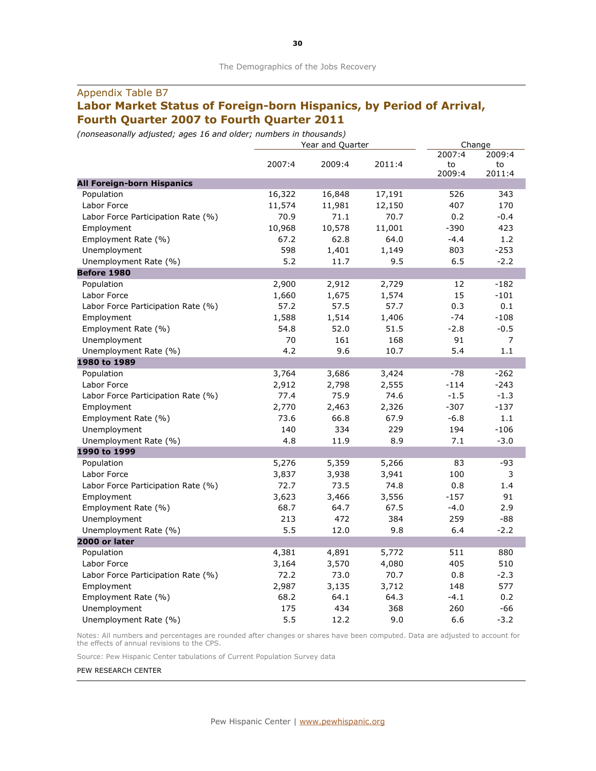## Labor Market Status of Foreign-born Hispanics, by Period of Arrival, Fourth Quarter 2007 to Fourth Quarter 2011

(nonseasonally adjusted; ages 16 and older; numbers in thousands)

|                                    |        | Year and Quarter | Change |        |         |
|------------------------------------|--------|------------------|--------|--------|---------|
|                                    |        |                  |        | 2007:4 | 2009:4  |
|                                    | 2007:4 | 2009:4           | 2011:4 | to     | to      |
| <b>All Foreign-born Hispanics</b>  |        |                  |        | 2009:4 | 2011:4  |
| Population                         | 16,322 | 16,848           | 17,191 | 526    | 343     |
| Labor Force                        | 11,574 | 11,981           | 12,150 | 407    | 170     |
| Labor Force Participation Rate (%) | 70.9   | 71.1             | 70.7   | 0.2    | $-0.4$  |
| Employment                         | 10,968 | 10,578           | 11,001 | $-390$ | 423     |
| Employment Rate (%)                | 67.2   | 62.8             | 64.0   | $-4.4$ | 1.2     |
| Unemployment                       | 598    | 1,401            | 1,149  | 803    | $-253$  |
| Unemployment Rate (%)              | 5.2    | 11.7             | 9.5    | 6.5    | $-2.2$  |
| Before 1980                        |        |                  |        |        |         |
| Population                         | 2,900  | 2,912            | 2,729  | 12     | $-182$  |
| Labor Force                        | 1,660  | 1,675            | 1,574  | 15     | $-101$  |
| Labor Force Participation Rate (%) | 57.2   | 57.5             | 57.7   | 0.3    | 0.1     |
| Employment                         | 1,588  | 1,514            | 1,406  | $-74$  | $-108$  |
| Employment Rate (%)                | 54.8   | 52.0             | 51.5   | $-2.8$ | $-0.5$  |
| Unemployment                       | 70     | 161              | 168    | 91     | 7       |
| Unemployment Rate (%)              | 4.2    | 9.6              | 10.7   | 5.4    | 1.1     |
| 1980 to 1989                       |        |                  |        |        |         |
| Population                         | 3,764  | 3,686            | 3,424  | -78    | $-262$  |
| Labor Force                        | 2,912  | 2,798            | 2,555  | $-114$ | $-243$  |
| Labor Force Participation Rate (%) | 77.4   | 75.9             | 74.6   | $-1.5$ | $-1.3$  |
| Employment                         | 2,770  | 2,463            | 2,326  | $-307$ | $-137$  |
| Employment Rate (%)                | 73.6   | 66.8             | 67.9   | $-6.8$ | $1.1\,$ |
| Unemployment                       | 140    | 334              | 229    | 194    | $-106$  |
| Unemployment Rate (%)              | 4.8    | 11.9             | 8.9    | 7.1    | $-3.0$  |
| 1990 to 1999                       |        |                  |        |        |         |
| Population                         | 5,276  | 5,359            | 5,266  | 83     | -93     |
| Labor Force                        | 3,837  | 3,938            | 3,941  | 100    | 3       |
| Labor Force Participation Rate (%) | 72.7   | 73.5             | 74.8   | 0.8    | 1.4     |
| Employment                         | 3,623  | 3,466            | 3,556  | $-157$ | 91      |
| Employment Rate (%)                | 68.7   | 64.7             | 67.5   | $-4.0$ | 2.9     |
| Unemployment                       | 213    | 472              | 384    | 259    | $-88$   |
| Unemployment Rate (%)              | 5.5    | 12.0             | 9.8    | 6.4    | $-2.2$  |
| 2000 or later                      |        |                  |        |        |         |
| Population                         | 4,381  | 4,891            | 5,772  | 511    | 880     |
| Labor Force                        | 3,164  | 3,570            | 4,080  | 405    | 510     |
| Labor Force Participation Rate (%) | 72.2   | 73.0             | 70.7   | 0.8    | $-2.3$  |
| Employment                         | 2,987  | 3,135            | 3,712  | 148    | 577     |
| Employment Rate (%)                | 68.2   | 64.1             | 64.3   | $-4.1$ | 0.2     |
| Unemployment                       | 175    | 434              | 368    | 260    | -66     |
| Unemployment Rate (%)              | 5.5    | 12.2             | 9.0    | 6.6    | $-3.2$  |

Notes: All numbers and percentages are rounded after changes or shares have been computed. Data are adjusted to account for the effects of annual revisions to the CPS.

Source: Pew Hispanic Center tabulations of Current Population Survey data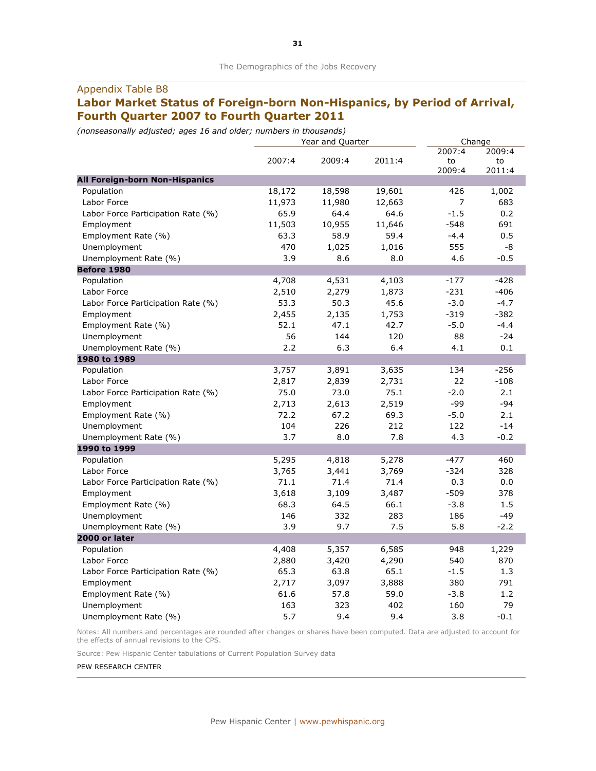## Labor Market Status of Foreign-born Non-Hispanics, by Period of Arrival, Fourth Quarter 2007 to Fourth Quarter 2011

(nonseasonally adjusted; ages 16 and older; numbers in thousands)

|                                       |        | Year and Quarter |        | Change |        |  |
|---------------------------------------|--------|------------------|--------|--------|--------|--|
|                                       |        |                  |        | 2007:4 | 2009:4 |  |
|                                       | 2007:4 | 2009:4           | 2011:4 | to     | to     |  |
| <b>All Foreign-born Non-Hispanics</b> |        |                  |        | 2009:4 | 2011:4 |  |
| Population                            | 18,172 | 18,598           | 19,601 | 426    | 1,002  |  |
| Labor Force                           | 11,973 | 11,980           | 12,663 | 7      | 683    |  |
|                                       | 65.9   | 64.4             | 64.6   | $-1.5$ | 0.2    |  |
| Labor Force Participation Rate (%)    | 11,503 |                  | 11,646 | $-548$ | 691    |  |
| Employment                            |        | 10,955           |        |        |        |  |
| Employment Rate (%)                   | 63.3   | 58.9             | 59.4   | $-4.4$ | 0.5    |  |
| Unemployment                          | 470    | 1,025            | 1,016  | 555    | -8     |  |
| Unemployment Rate (%)                 | 3.9    | 8.6              | 8.0    | 4.6    | $-0.5$ |  |
| Before 1980                           |        |                  |        |        |        |  |
| Population                            | 4,708  | 4,531            | 4,103  | $-177$ | $-428$ |  |
| Labor Force                           | 2,510  | 2,279            | 1,873  | $-231$ | $-406$ |  |
| Labor Force Participation Rate (%)    | 53.3   | 50.3             | 45.6   | $-3.0$ | $-4.7$ |  |
| Employment                            | 2,455  | 2,135            | 1,753  | $-319$ | $-382$ |  |
| Employment Rate (%)                   | 52.1   | 47.1             | 42.7   | $-5.0$ | $-4.4$ |  |
| Unemployment                          | 56     | 144              | 120    | 88     | $-24$  |  |
| Unemployment Rate (%)                 | 2.2    | 6.3              | 6.4    | 4.1    | 0.1    |  |
| 1980 to 1989                          |        |                  |        |        |        |  |
| Population                            | 3,757  | 3,891            | 3,635  | 134    | $-256$ |  |
| Labor Force                           | 2,817  | 2,839            | 2,731  | 22     | $-108$ |  |
| Labor Force Participation Rate (%)    | 75.0   | 73.0             | 75.1   | $-2.0$ | 2.1    |  |
| Employment                            | 2,713  | 2,613            | 2,519  | -99    | -94    |  |
| Employment Rate (%)                   | 72.2   | 67.2             | 69.3   | $-5.0$ | 2.1    |  |
| Unemployment                          | 104    | 226              | 212    | 122    | $-14$  |  |
| Unemployment Rate (%)                 | 3.7    | 8.0              | 7.8    | 4.3    | $-0.2$ |  |
| 1990 to 1999                          |        |                  |        |        |        |  |
| Population                            | 5,295  | 4,818            | 5,278  | $-477$ | 460    |  |
| Labor Force                           | 3,765  | 3,441            | 3,769  | $-324$ | 328    |  |
| Labor Force Participation Rate (%)    | 71.1   | 71.4             | 71.4   | 0.3    | 0.0    |  |
| Employment                            | 3,618  | 3,109            | 3,487  | $-509$ | 378    |  |
| Employment Rate (%)                   | 68.3   | 64.5             | 66.1   | $-3.8$ | 1.5    |  |
| Unemployment                          | 146    | 332              | 283    | 186    | $-49$  |  |
| Unemployment Rate (%)                 | 3.9    | 9.7              | 7.5    | 5.8    | $-2.2$ |  |
| 2000 or later                         |        |                  |        |        |        |  |
| Population                            | 4,408  | 5,357            | 6,585  | 948    | 1,229  |  |
| Labor Force                           | 2,880  | 3,420            | 4,290  | 540    | 870    |  |
| Labor Force Participation Rate (%)    | 65.3   | 63.8             | 65.1   | $-1.5$ | 1.3    |  |
| Employment                            | 2,717  | 3,097            | 3,888  | 380    | 791    |  |
| Employment Rate (%)                   | 61.6   | 57.8             | 59.0   | $-3.8$ | 1.2    |  |
| Unemployment                          | 163    | 323              | 402    | 160    | 79     |  |
| Unemployment Rate (%)                 | 5.7    | 9.4              | 9.4    | 3.8    | $-0.1$ |  |
|                                       |        |                  |        |        |        |  |

Notes: All numbers and percentages are rounded after changes or shares have been computed. Data are adjusted to account for the effects of annual revisions to the CPS.

Source: Pew Hispanic Center tabulations of Current Population Survey data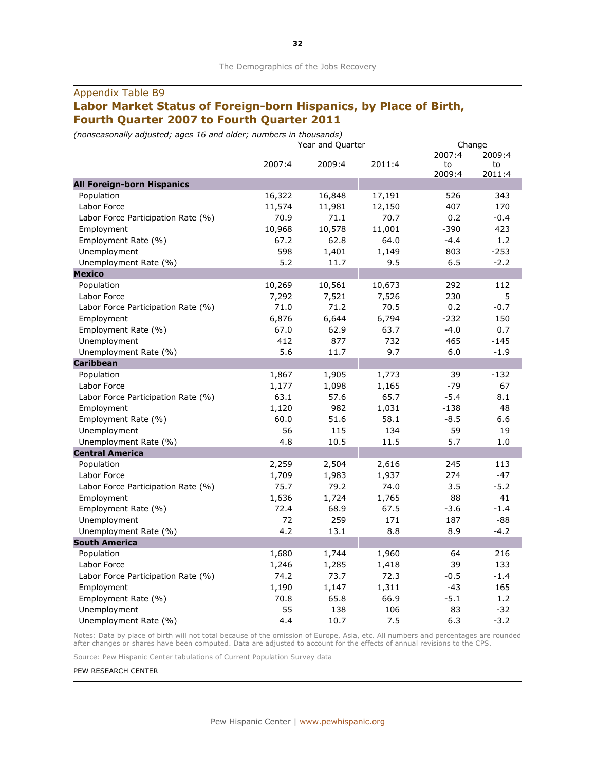### Labor Market Status of Foreign-born Hispanics, by Place of Birth, Fourth Quarter 2007 to Fourth Quarter 2011

(nonseasonally adjusted; ages 16 and older; numbers in thousands)

|                                    |        | Year and Quarter |        | Change |        |
|------------------------------------|--------|------------------|--------|--------|--------|
|                                    |        |                  |        | 2007:4 | 2009:4 |
|                                    | 2007:4 | 2009:4           | 2011:4 | to     | to     |
| <b>All Foreign-born Hispanics</b>  |        |                  |        | 2009:4 | 2011:4 |
| Population                         | 16,322 | 16,848           | 17,191 | 526    | 343    |
| Labor Force                        | 11,574 | 11,981           | 12,150 | 407    | 170    |
| Labor Force Participation Rate (%) | 70.9   | 71.1             | 70.7   | 0.2    | $-0.4$ |
| Employment                         | 10,968 | 10,578           | 11,001 | $-390$ | 423    |
| Employment Rate (%)                | 67.2   | 62.8             | 64.0   | $-4.4$ | 1.2    |
| Unemployment                       | 598    | 1,401            | 1,149  | 803    | $-253$ |
| Unemployment Rate (%)              | 5.2    | 11.7             | 9.5    | 6.5    | $-2.2$ |
| <b>Mexico</b>                      |        |                  |        |        |        |
| Population                         | 10,269 | 10,561           | 10,673 | 292    | 112    |
| Labor Force                        | 7,292  | 7,521            | 7,526  | 230    | 5      |
| Labor Force Participation Rate (%) | 71.0   | 71.2             | 70.5   | 0.2    | $-0.7$ |
| Employment                         | 6,876  | 6,644            | 6,794  | $-232$ | 150    |
| Employment Rate (%)                | 67.0   | 62.9             | 63.7   | $-4.0$ | 0.7    |
| Unemployment                       | 412    | 877              | 732    | 465    | $-145$ |
| Unemployment Rate (%)              | 5.6    | 11.7             | 9.7    | 6.0    | $-1.9$ |
| <b>Caribbean</b>                   |        |                  |        |        |        |
| Population                         | 1,867  | 1,905            | 1,773  | 39     | $-132$ |
| Labor Force                        | 1,177  | 1,098            | 1,165  | $-79$  | 67     |
| Labor Force Participation Rate (%) | 63.1   | 57.6             | 65.7   | $-5.4$ | 8.1    |
| Employment                         | 1,120  | 982              | 1,031  | $-138$ | 48     |
| Employment Rate (%)                | 60.0   | 51.6             | 58.1   | $-8.5$ | 6.6    |
| Unemployment                       | 56     | 115              | 134    | 59     | 19     |
| Unemployment Rate (%)              | 4.8    | 10.5             | 11.5   | 5.7    | 1.0    |
| <b>Central America</b>             |        |                  |        |        |        |
| Population                         | 2,259  | 2,504            | 2,616  | 245    | 113    |
| Labor Force                        | 1,709  | 1,983            | 1,937  | 274    | $-47$  |
| Labor Force Participation Rate (%) | 75.7   | 79.2             | 74.0   | 3.5    | $-5.2$ |
| Employment                         | 1,636  | 1,724            | 1,765  | 88     | 41     |
| Employment Rate (%)                | 72.4   | 68.9             | 67.5   | $-3.6$ | $-1.4$ |
| Unemployment                       | 72     | 259              | 171    | 187    | $-88$  |
| Unemployment Rate (%)              | 4.2    | 13.1             | 8.8    | 8.9    | $-4.2$ |
| <b>South America</b>               |        |                  |        |        |        |
| Population                         | 1,680  | 1,744            | 1,960  | 64     | 216    |
| Labor Force                        | 1,246  | 1,285            | 1,418  | 39     | 133    |
| Labor Force Participation Rate (%) | 74.2   | 73.7             | 72.3   | $-0.5$ | $-1.4$ |
| Employment                         | 1,190  | 1,147            | 1,311  | $-43$  | 165    |
| Employment Rate (%)                | 70.8   | 65.8             | 66.9   | $-5.1$ | 1.2    |
| Unemployment                       | 55     | 138              | 106    | 83     | $-32$  |
| Unemployment Rate (%)              | 4.4    | 10.7             | 7.5    | 6.3    | $-3.2$ |

Notes: Data by place of birth will not total because of the omission of Europe, Asia, etc. All numbers and percentages are rounded<br>after changes or shares have been computed. Data are adjusted to account for the effects of

Source: Pew Hispanic Center tabulations of Current Population Survey data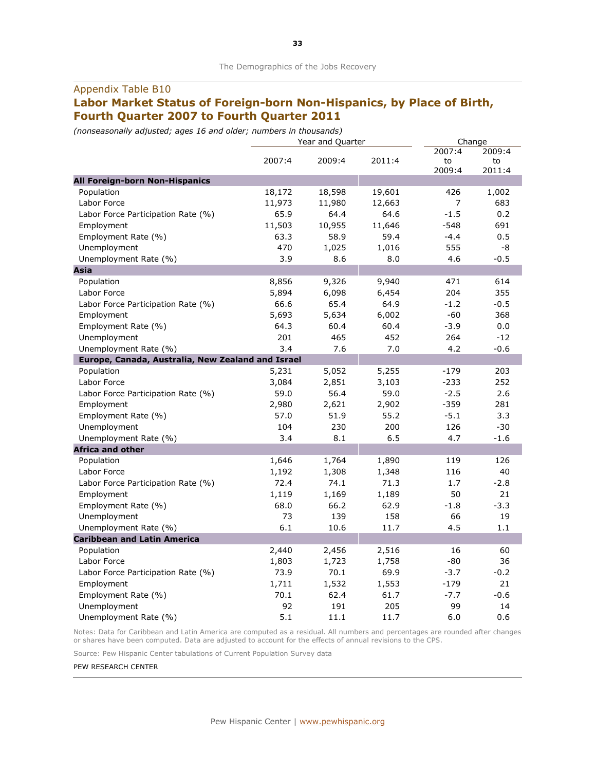## Appendix Table B10 Labor Market Status of Foreign-born Non-Hispanics, by Place of Birth, Fourth Quarter 2007 to Fourth Quarter 2011

(nonseasonally adjusted; ages 16 and older; numbers in thousands)

|                                                   |            | Year and Quarter | Change         |        |        |
|---------------------------------------------------|------------|------------------|----------------|--------|--------|
|                                                   |            |                  |                | 2007:4 | 2009:4 |
|                                                   | 2007:4     | 2009:4           | 2011:4         | to     | to     |
| All Foreign-born Non-Hispanics                    |            |                  |                | 2009:4 | 2011:4 |
| Population                                        | 18,172     | 18,598           | 19,601         | 426    | 1,002  |
| Labor Force                                       | 11,973     | 11,980           | 12,663         | 7      | 683    |
| Labor Force Participation Rate (%)                | 65.9       | 64.4             | 64.6           | $-1.5$ | 0.2    |
|                                                   |            |                  |                | $-548$ | 691    |
| Employment                                        | 11,503     | 10,955<br>58.9   | 11,646<br>59.4 | $-4.4$ |        |
| Employment Rate (%)                               | 63.3       |                  |                |        | 0.5    |
| Unemployment                                      | 470<br>3.9 | 1,025            | 1,016          | 555    | -8     |
| Unemployment Rate (%)                             |            | 8.6              | 8.0            | 4.6    | $-0.5$ |
| Asia                                              |            |                  |                |        |        |
| Population                                        | 8,856      | 9,326            | 9,940          | 471    | 614    |
| Labor Force                                       | 5,894      | 6,098            | 6,454          | 204    | 355    |
| Labor Force Participation Rate (%)                | 66.6       | 65.4             | 64.9           | $-1.2$ | $-0.5$ |
| Employment                                        | 5,693      | 5,634            | 6,002          | $-60$  | 368    |
| Employment Rate (%)                               | 64.3       | 60.4             | 60.4           | $-3.9$ | 0.0    |
| Unemployment                                      | 201        | 465              | 452            | 264    | $-12$  |
| Unemployment Rate (%)                             | 3.4        | 7.6              | 7.0            | 4.2    | $-0.6$ |
| Europe, Canada, Australia, New Zealand and Israel |            |                  |                |        |        |
| Population                                        | 5,231      | 5,052            | 5,255          | $-179$ | 203    |
| Labor Force                                       | 3,084      | 2,851            | 3,103          | $-233$ | 252    |
| Labor Force Participation Rate (%)                | 59.0       | 56.4             | 59.0           | $-2.5$ | 2.6    |
| Employment                                        | 2,980      | 2,621            | 2,902          | $-359$ | 281    |
| Employment Rate (%)                               | 57.0       | 51.9             | 55.2           | $-5.1$ | 3.3    |
| Unemployment                                      | 104        | 230              | 200            | 126    | $-30$  |
| Unemployment Rate (%)                             | 3.4        | 8.1              | 6.5            | 4.7    | $-1.6$ |
| <b>Africa and other</b>                           |            |                  |                |        |        |
| Population                                        | 1,646      | 1,764            | 1,890          | 119    | 126    |
| Labor Force                                       | 1,192      | 1,308            | 1,348          | 116    | 40     |
| Labor Force Participation Rate (%)                | 72.4       | 74.1             | 71.3           | 1.7    | $-2.8$ |
| Employment                                        | 1,119      | 1,169            | 1,189          | 50     | 21     |
| Employment Rate (%)                               | 68.0       | 66.2             | 62.9           | $-1.8$ | $-3.3$ |
| Unemployment                                      | 73         | 139              | 158            | 66     | 19     |
| Unemployment Rate (%)                             | 6.1        | 10.6             | 11.7           | 4.5    | 1.1    |
| <b>Caribbean and Latin America</b>                |            |                  |                |        |        |
| Population                                        | 2,440      | 2,456            | 2,516          | 16     | 60     |
| Labor Force                                       | 1,803      | 1,723            | 1,758          | -80    | 36     |
| Labor Force Participation Rate (%)                | 73.9       | 70.1             | 69.9           | $-3.7$ | $-0.2$ |
| Employment                                        | 1,711      | 1,532            | 1,553          | $-179$ | 21     |
| Employment Rate (%)                               | 70.1       | 62.4             | 61.7           | $-7.7$ | $-0.6$ |
| Unemployment                                      | 92         | 191              | 205            | 99     | 14     |
| Unemployment Rate (%)                             | 5.1        | 11.1             | 11.7           | 6.0    | 0.6    |

Notes: Data for Caribbean and Latin America are computed as a residual. All numbers and percentages are rounded after changes or shares have been computed. Data are adjusted to account for the effects of annual revisions to the CPS.

Source: Pew Hispanic Center tabulations of Current Population Survey data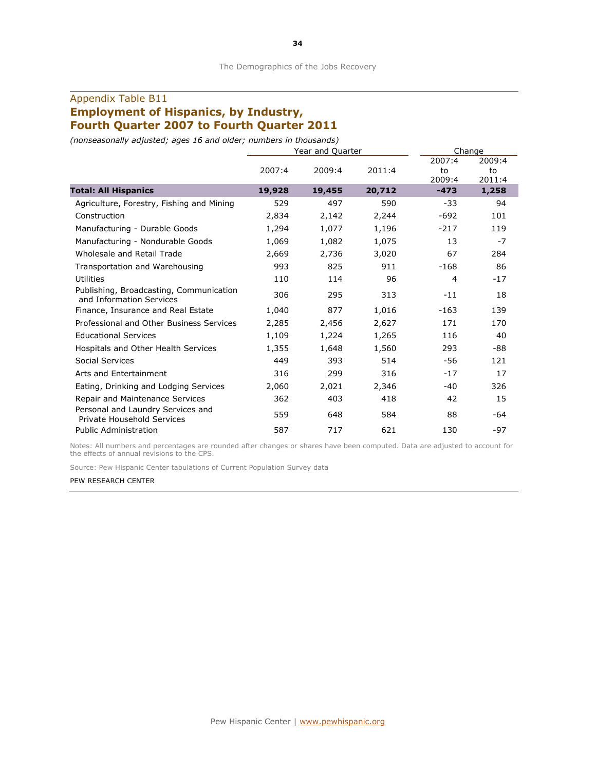## Appendix Table B11 Employment of Hispanics, by Industry, Fourth Quarter 2007 to Fourth Quarter 2011

(nonseasonally adjusted; ages 16 and older; numbers in thousands)

|                                                                     |        | Year and Quarter | Change |        |        |
|---------------------------------------------------------------------|--------|------------------|--------|--------|--------|
|                                                                     |        |                  |        | 2007:4 | 2009:4 |
|                                                                     | 2007:4 | 2009:4           | 2011:4 | to     | to     |
|                                                                     |        |                  |        | 2009:4 | 2011:4 |
| <b>Total: All Hispanics</b>                                         | 19,928 | 19,455           | 20,712 | $-473$ | 1,258  |
| Agriculture, Forestry, Fishing and Mining                           | 529    | 497              | 590    | $-33$  | 94     |
| Construction                                                        | 2,834  | 2,142            | 2,244  | $-692$ | 101    |
| Manufacturing - Durable Goods                                       | 1,294  | 1,077            | 1,196  | $-217$ | 119    |
| Manufacturing - Nondurable Goods                                    | 1,069  | 1,082            | 1,075  | 13     | $-7$   |
| Wholesale and Retail Trade                                          | 2,669  | 2,736            | 3,020  | 67     | 284    |
| Transportation and Warehousing                                      | 993    | 825              | 911    | $-168$ | 86     |
| Utilities                                                           | 110    | 114              | 96     | 4      | $-17$  |
| Publishing, Broadcasting, Communication<br>and Information Services | 306    | 295              | 313    | $-11$  | 18     |
| Finance, Insurance and Real Estate                                  | 1,040  | 877              | 1,016  | $-163$ | 139    |
| Professional and Other Business Services                            | 2,285  | 2,456            | 2,627  | 171    | 170    |
| <b>Educational Services</b>                                         | 1,109  | 1,224            | 1,265  | 116    | 40     |
| Hospitals and Other Health Services                                 | 1,355  | 1,648            | 1,560  | 293    | -88    |
| Social Services                                                     | 449    | 393              | 514    | -56    | 121    |
| Arts and Entertainment                                              | 316    | 299              | 316    | $-17$  | 17     |
| Eating, Drinking and Lodging Services                               | 2,060  | 2,021            | 2,346  | $-40$  | 326    |
| Repair and Maintenance Services                                     | 362    | 403              | 418    | 42     | 15     |
| Personal and Laundry Services and<br>Private Household Services     | 559    | 648              | 584    | 88     | $-64$  |
| <b>Public Administration</b>                                        | 587    | 717              | 621    | 130    | $-97$  |

Notes: All numbers and percentages are rounded after changes or shares have been computed. Data are adjusted to account for the effects of annual revisions to the CPS.

Source: Pew Hispanic Center tabulations of Current Population Survey data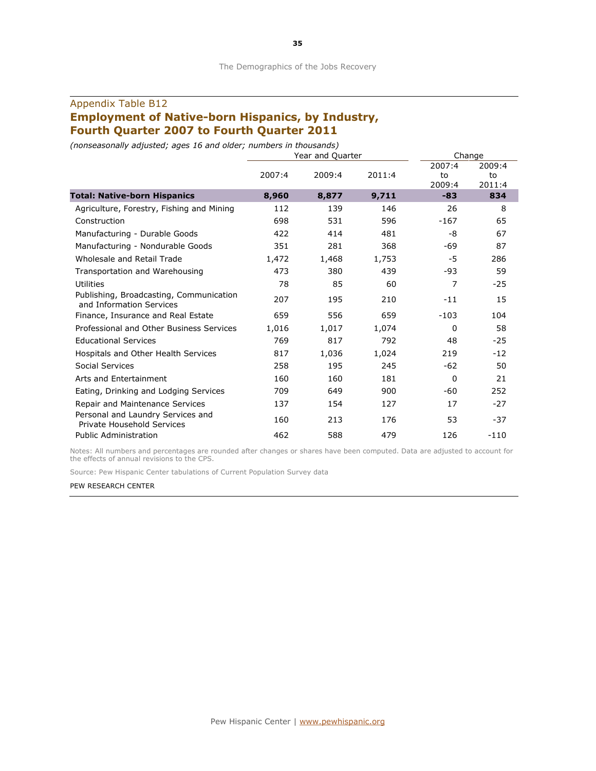## Appendix Table B12 Employment of Native-born Hispanics, by Industry, Fourth Quarter 2007 to Fourth Quarter 2011

Year and Quarter **Change** 2007:4 2009:4 2011:4 2007:4 to 2009:4 2009:4 to 2011:4 Total: Native-born Hispanics 6,960 8,877 9,711 -83 834 Agriculture, Forestry, Fishing and Mining  $112$  139 146 26 8 Construction 698 531 596 -167 65 Manufacturing - Durable Goods 422 414 481 -8 67 Manufacturing - Nondurable Goods 351 281 368 -69 87 Wholesale and Retail Trade  $1,472$   $1,468$   $1,753$   $-5$  286 Transportation and Warehousing 473 380 439 -93 59 Utilities 78 85 60 7 -25 Publishing, Broadcasting, Communication Publishing, Broadcascing, Communication 207 195 210 -11 15 Finance, Insurance and Real Estate  $\begin{array}{ccc} 659 & 556 & 659 & -103 & 104 \end{array}$ Professional and Other Business Services  $1,016$   $1,017$   $1,074$  0 58 Educational Services 769 817 792 48 -25 Hospitals and Other Health Services 817 1,036 1,024 219 -12 Social Services 258 195 245 -62 50 Arts and Entertainment 160 160 181 0 21 Eating, Drinking and Lodging Services 709 649 900 -60 252 Repair and Maintenance Services 137 154 127 17 -27 Personal and Laundry Services and Prisonal and Laundry Services and<br>Private Household Services 160 213 176 53 -37 Public Administration 462 588 479 126 -110

(nonseasonally adjusted; ages 16 and older; numbers in thousands)

Notes: All numbers and percentages are rounded after changes or shares have been computed. Data are adjusted to account for the effects of annual revisions to the CPS.

Source: Pew Hispanic Center tabulations of Current Population Survey data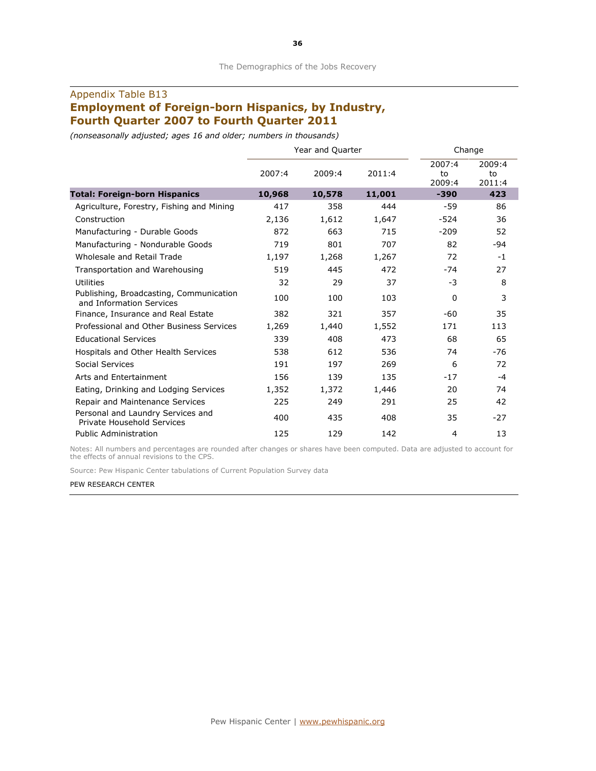## Appendix Table B13 Employment of Foreign-born Hispanics, by Industry, Fourth Quarter 2007 to Fourth Quarter 2011

(nonseasonally adjusted; ages 16 and older; numbers in thousands)

|                                                                     |        | Year and Quarter | Change |                        |                        |
|---------------------------------------------------------------------|--------|------------------|--------|------------------------|------------------------|
|                                                                     | 2007:4 | 2009:4           | 2011:4 | 2007:4<br>to<br>2009:4 | 2009:4<br>to<br>2011:4 |
| <b>Total: Foreign-born Hispanics</b>                                | 10,968 | 10,578           | 11,001 | $-390$                 | 423                    |
| Agriculture, Forestry, Fishing and Mining                           | 417    | 358              | 444    | $-59$                  | 86                     |
| Construction                                                        | 2,136  | 1,612            | 1,647  | $-524$                 | 36                     |
| Manufacturing - Durable Goods                                       | 872    | 663              | 715    | $-209$                 | 52                     |
| Manufacturing - Nondurable Goods                                    | 719    | 801              | 707    | 82                     | $-94$                  |
| Wholesale and Retail Trade                                          | 1,197  | 1,268            | 1,267  | 72                     | $-1$                   |
| Transportation and Warehousing                                      | 519    | 445              | 472    | $-74$                  | 27                     |
| Utilities                                                           | 32     | 29               | 37     | $-3$                   | 8                      |
| Publishing, Broadcasting, Communication<br>and Information Services | 100    | 100              | 103    | 0                      | 3                      |
| Finance, Insurance and Real Estate                                  | 382    | 321              | 357    | $-60$                  | 35                     |
| Professional and Other Business Services                            | 1,269  | 1,440            | 1,552  | 171                    | 113                    |
| <b>Educational Services</b>                                         | 339    | 408              | 473    | 68                     | 65                     |
| Hospitals and Other Health Services                                 | 538    | 612              | 536    | 74                     | $-76$                  |
| <b>Social Services</b>                                              | 191    | 197              | 269    | 6                      | 72                     |
| Arts and Entertainment                                              | 156    | 139              | 135    | $-17$                  | $-4$                   |
| Eating, Drinking and Lodging Services                               | 1,352  | 1,372            | 1,446  | 20                     | 74                     |
| Repair and Maintenance Services                                     | 225    | 249              | 291    | 25                     | 42                     |
| Personal and Laundry Services and<br>Private Household Services     | 400    | 435              | 408    | 35                     | $-27$                  |
| <b>Public Administration</b>                                        | 125    | 129              | 142    | $\overline{4}$         | 13                     |

Notes: All numbers and percentages are rounded after changes or shares have been computed. Data are adjusted to account for the effects of annual revisions to the CPS.

Source: Pew Hispanic Center tabulations of Current Population Survey data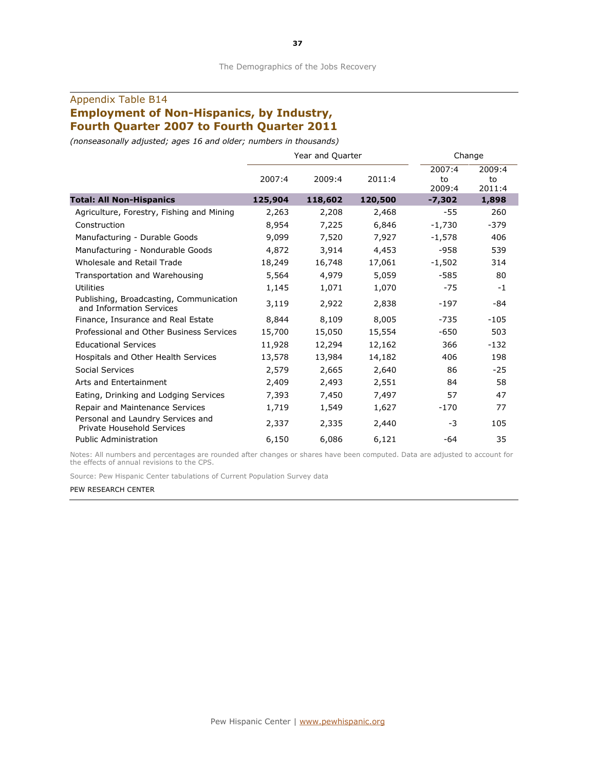# Employment of Non-Hispanics, by Industry,

Fourth Quarter 2007 to Fourth Quarter 2011

(nonseasonally adjusted; ages 16 and older; numbers in thousands)

|                                                                     |         | Year and Quarter | Change  |                        |                        |
|---------------------------------------------------------------------|---------|------------------|---------|------------------------|------------------------|
|                                                                     | 2007:4  | 2009:4           | 2011:4  | 2007:4<br>to<br>2009:4 | 2009:4<br>to<br>2011:4 |
| <b>Total: All Non-Hispanics</b>                                     | 125,904 | 118,602          | 120,500 | $-7,302$               | 1,898                  |
| Agriculture, Forestry, Fishing and Mining                           | 2,263   | 2,208            | 2,468   | $-55$                  | 260                    |
| Construction                                                        | 8,954   | 7,225            | 6,846   | $-1,730$               | $-379$                 |
| Manufacturing - Durable Goods                                       | 9,099   | 7,520            | 7,927   | $-1,578$               | 406                    |
| Manufacturing - Nondurable Goods                                    | 4,872   | 3,914            | 4,453   | $-958$                 | 539                    |
| Wholesale and Retail Trade                                          | 18,249  | 16,748           | 17,061  | $-1,502$               | 314                    |
| Transportation and Warehousing                                      | 5,564   | 4,979            | 5,059   | $-585$                 | 80                     |
| Utilities                                                           | 1,145   | 1,071            | 1,070   | $-75$                  | $-1$                   |
| Publishing, Broadcasting, Communication<br>and Information Services | 3,119   | 2,922            | 2,838   | $-197$                 | -84                    |
| Finance, Insurance and Real Estate                                  | 8,844   | 8,109            | 8,005   | $-735$                 | $-105$                 |
| Professional and Other Business Services                            | 15,700  | 15,050           | 15,554  | $-650$                 | 503                    |
| <b>Educational Services</b>                                         | 11,928  | 12,294           | 12,162  | 366                    | $-132$                 |
| Hospitals and Other Health Services                                 | 13,578  | 13,984           | 14,182  | 406                    | 198                    |
| Social Services                                                     | 2,579   | 2,665            | 2,640   | 86                     | $-25$                  |
| Arts and Entertainment                                              | 2,409   | 2,493            | 2,551   | 84                     | 58                     |
| Eating, Drinking and Lodging Services                               | 7,393   | 7,450            | 7,497   | 57                     | 47                     |
| Repair and Maintenance Services                                     | 1,719   | 1,549            | 1,627   | $-170$                 | 77                     |
| Personal and Laundry Services and<br>Private Household Services     | 2,337   | 2,335            | 2,440   | -3                     | 105                    |
| <b>Public Administration</b>                                        | 6,150   | 6,086            | 6,121   | $-64$                  | 35                     |

Notes: All numbers and percentages are rounded after changes or shares have been computed. Data are adjusted to account for the effects of annual revisions to the CPS.

Source: Pew Hispanic Center tabulations of Current Population Survey data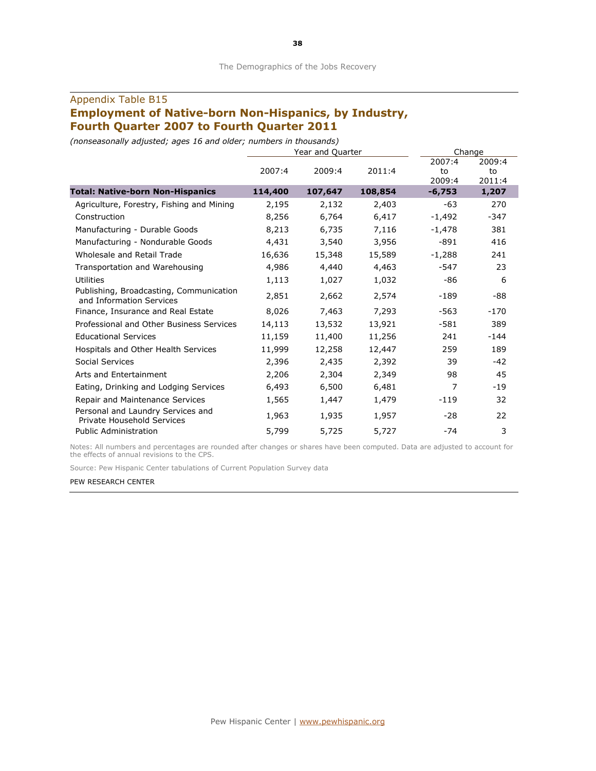## Employment of Native-born Non-Hispanics, by Industry, Fourth Quarter 2007 to Fourth Quarter 2011

(nonseasonally adjusted; ages 16 and older; numbers in thousands)

|                                                                                                                                    |         | Change  |                  |        |
|------------------------------------------------------------------------------------------------------------------------------------|---------|---------|------------------|--------|
|                                                                                                                                    |         |         | 2007:4           | 2009:4 |
| 2007:4                                                                                                                             | 2009:4  | 2011:4  | to               | to     |
|                                                                                                                                    |         |         |                  | 2011:4 |
| 114,400                                                                                                                            | 107,647 | 108,854 | $-6,753$         | 1,207  |
| 2,195                                                                                                                              | 2,132   | 2,403   | $-63$            | 270    |
| 8,256                                                                                                                              | 6,764   | 6,417   | $-1,492$         | -347   |
| 8,213                                                                                                                              | 6,735   | 7,116   | $-1,478$         | 381    |
| 4,431                                                                                                                              | 3,540   | 3,956   | $-891$           | 416    |
| 16,636                                                                                                                             | 15,348  | 15,589  | $-1,288$         | 241    |
| 4,986                                                                                                                              | 4,440   | 4,463   | $-547$           | 23     |
| 1,113                                                                                                                              | 1,027   | 1,032   | -86              | 6      |
| 2,851                                                                                                                              | 2,662   | 2,574   | $-189$           | -88    |
| 8,026                                                                                                                              | 7,463   | 7,293   | $-563$           | $-170$ |
| 14,113                                                                                                                             | 13,532  | 13,921  | $-581$           | 389    |
| 11,159                                                                                                                             | 11,400  | 11,256  | 241              | $-144$ |
| 11,999                                                                                                                             | 12,258  | 12,447  | 259              | 189    |
| 2,396                                                                                                                              | 2,435   | 2,392   | 39               | $-42$  |
| Hospitals and Other Health Services<br>2,206<br>2,304<br>2,349<br>Eating, Drinking and Lodging Services<br>6,493<br>6,500<br>6,481 |         | 98      | 45               |        |
|                                                                                                                                    |         |         | 7                | $-19$  |
| 1,565                                                                                                                              | 1,447   | 1,479   | $-119$           | 32     |
| 1,963                                                                                                                              | 1,935   | 1,957   | $-28$            | 22     |
| 5,799                                                                                                                              | 5,725   | 5,727   | $-74$            | 3      |
|                                                                                                                                    |         |         | Year and Quarter | 2009:4 |

Notes: All numbers and percentages are rounded after changes or shares have been computed. Data are adjusted to account for the effects of annual revisions to the CPS.

Source: Pew Hispanic Center tabulations of Current Population Survey data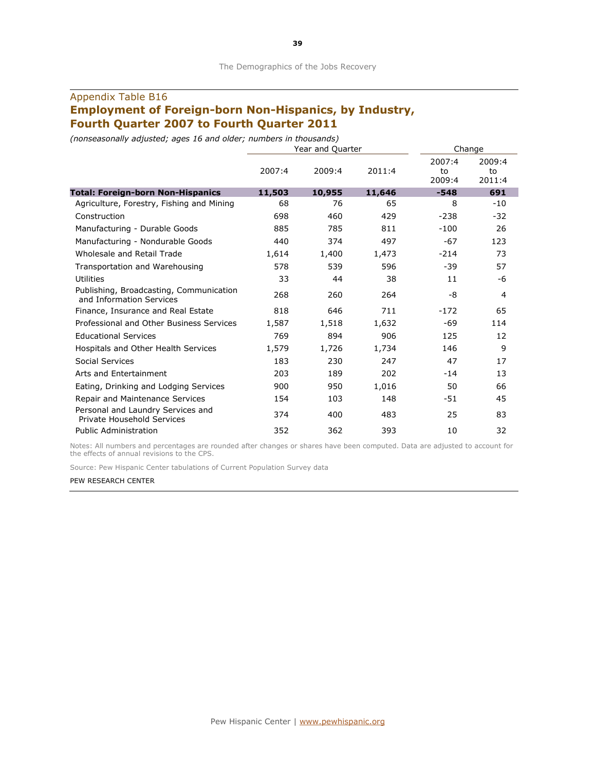## Appendix Table B16 Employment of Foreign-born Non-Hispanics, by Industry, Fourth Quarter 2007 to Fourth Quarter 2011

(nonseasonally adjusted; ages 16 and older; numbers in thousands)

|                                                                     |                          | Year and Quarter | Change |                        |                        |
|---------------------------------------------------------------------|--------------------------|------------------|--------|------------------------|------------------------|
|                                                                     | 2007:4                   | 2009:4           | 2011:4 | 2007:4<br>to<br>2009:4 | 2009:4<br>to<br>2011:4 |
| <b>Total: Foreign-born Non-Hispanics</b>                            | 11,503                   | 10,955           | 11,646 | $-548$                 | 691                    |
| Agriculture, Forestry, Fishing and Mining                           | 68                       | 76               | 65     | 8                      | $-10$                  |
| Construction                                                        | 698                      | 460              | 429    | $-238$                 | $-32$                  |
| Manufacturing - Durable Goods                                       | 885                      | 785              | 811    | $-100$                 | 26                     |
| Manufacturing - Nondurable Goods                                    | 440                      | 374              | 497    | $-67$                  | 123                    |
| Wholesale and Retail Trade                                          | 1,614                    | 1,400            | 1,473  | $-214$                 | 73                     |
| Transportation and Warehousing                                      | 578                      | 539              | 596    | $-39$                  | 57                     |
| <b>Utilities</b>                                                    | 33                       | 44               | 38     | 11                     | -6                     |
| Publishing, Broadcasting, Communication<br>and Information Services | 268                      | 260              | 264    | -8                     | 4                      |
| Finance, Insurance and Real Estate                                  | 818                      | 646              | 711    | $-172$                 | 65                     |
| Professional and Other Business Services                            | 1,587                    | 1,518            | 1,632  | $-69$                  | 114                    |
| <b>Educational Services</b>                                         | 769                      | 894              | 906    | 125                    | 12                     |
| Hospitals and Other Health Services                                 | 1,579                    | 1,726            | 1,734  | 146                    | 9                      |
| Social Services                                                     | 183                      | 230              | 247    | 47                     | 17                     |
| Arts and Entertainment                                              | 203<br>189<br>950<br>900 |                  | 202    | $-14$                  | 13                     |
| Eating, Drinking and Lodging Services                               |                          |                  | 1,016  | 50                     | 66                     |
| Repair and Maintenance Services                                     | 103<br>154               |                  | 148    | -51                    | 45                     |
| Personal and Laundry Services and<br>Private Household Services     | 374                      | 400              | 483    | 25                     | 83                     |
| <b>Public Administration</b>                                        | 352                      | 362              | 393    | 10                     | 32                     |

Notes: All numbers and percentages are rounded after changes or shares have been computed. Data are adjusted to account for the effects of annual revisions to the CPS.

Source: Pew Hispanic Center tabulations of Current Population Survey data